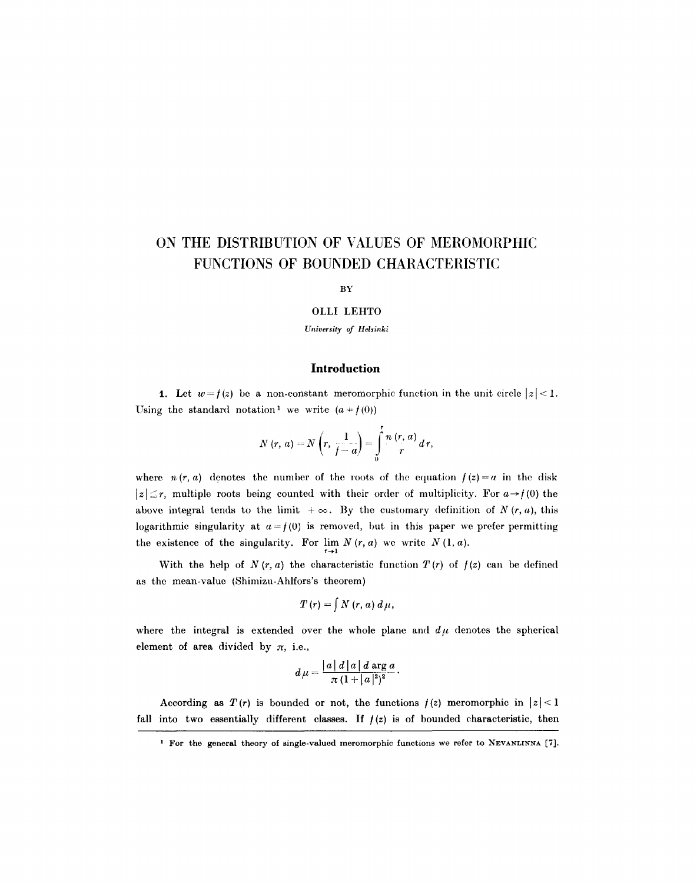# **ON THE DISTRIBUTION OF VALUES OF MEROMORPHIC FUNCTIONS OF BOUNDED CHARACTERISTIC**

#### **BY**

## *OLLI* **LEHTO**

#### *University of Helsinki*

# **Introduction**

1. Let  $w = f(z)$  be a non-constant meromorphic function in the unit circle  $|z| < 1$ . Using the standard notation<sup>1</sup> we write  $(a \neq f(0))$ 

$$
N(r, a) = N\left(r, \frac{1}{f-a}\right) = \int_{0}^{r} \frac{n(r, a)}{r} dr,
$$

where  $n(r, a)$  denotes the number of the roots of the equation  $f(z) = a$  in the disk  $|z| \leq r$ , multiple roots being counted with their order of multiplicity. For  $a \rightarrow f(0)$  the above integral tends to the limit  $+\infty$ . By the customary definition of *N* (*r, a*), this logarithmic singularity at  $a=f(0)$  is removed, but in this paper we prefer permitting the existence of the singularity. For  $\lim_{r\to 1} N(r, a)$  we write  $N(1, a)$ .

With the help of  $N(r, a)$  the characteristic function  $T(r)$  of  $f(z)$  can be defined as the mean-value (Shimizu-Ahlfors's theorem)

$$
T(r) = \int N(r, a) d\mu,
$$

where the integral is extended over the whole plane and  $d\mu$  denotes the spherical element of area divided by  $\pi$ , i.e.,

$$
d\mu = \frac{|a| d |a| d \operatorname{arg} a}{\pi (1+|a|^2)^2}.
$$

According as  $T(r)$  is bounded or not, the functions  $f(z)$  meromorphic in  $|z| < 1$ fall into two essentially different classes. If  $f(z)$  is of bounded characteristic, then

<sup>&</sup>lt;sup>1</sup> For the general theory of single-valued meromorphic functions we refer to NEVANLINNA [7].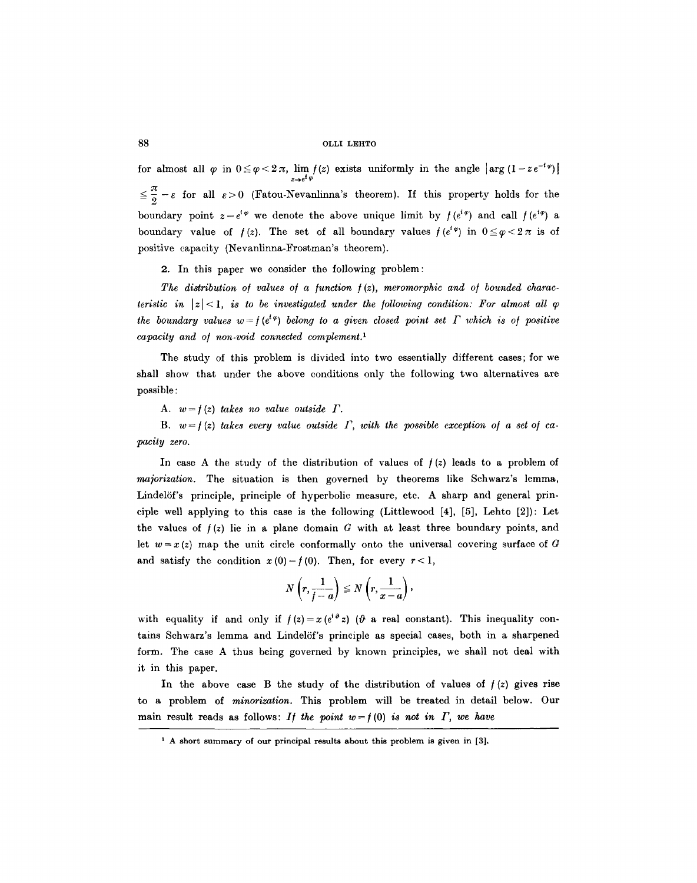for almost all  $\varphi$  in  $0 \le \varphi < 2\pi$ ,  $\lim_{z \to e^t} f(z)$  exists uniformly in the angle  $|\arg (1 - ze^{-i\varphi})|$  $\leq \frac{\pi}{2} - \varepsilon$  for all  $\varepsilon > 0$  (Fatou-Nevanlinna's theorem). If this property holds for the boundary point  $z=e^{i\varphi}$  we denote the above unique limit by  $f(e^{i\varphi})$  and call  $f(e^{i\varphi})$  a boundary value of  $f(z)$ . The set of all boundary values  $f(e^{i\varphi})$  in  $0 \le \varphi < 2\pi$  is of positive capacity (Nevanlinna-Frostman's theorem).

2. In this paper we consider the following problem:

The distribution of values of a function  $f(z)$ , meromorphic and of bounded charac*teristic in*  $|z| < 1$ , *is to be investigated under the following condition: For almost all*  $\varphi$ *the boundary values w = {(e'<sup>* $e$ *</sup>) belong to a given closed point set*  $\Gamma$  *which is of positive capacity and o/ non-void connected complement. 1* 

The study of this problem is divided into two essentially different cases; for we shall show that under the above conditions only the following two alternatives are possible :

A.  $w = f(z)$  takes no value outside  $\Gamma$ .

B.  $w = f(z)$  takes every value outside  $\Gamma$ , with the possible exception of a set of ca*pacity zero.* 

In case A the study of the distribution of values of  $f(z)$  leads to a problem of *majorization.* The situation is then governed by theorems like Schwarz's lemma, Lindelöf's principle, principle of hyperbolic measure, etc. A sharp and general principle well applying to this case is the following (Littlewood [4], [5], Lehto [2]): Let the values of  $f(z)$  lie in a plane domain G with at least three boundary points, and let  $w=x(z)$  map the unit circle conformally onto the universal covering surface of G and satisfy the condition  $x(0)=f(0)$ . Then, for every  $r<1$ ,

$$
N\left(r,\frac{1}{f-a}\right)\leq N\left(r,\frac{1}{x-a}\right),
$$

with equality if and only if  $f(z)=x(e^{i\theta}z)$  ( $\theta$  a real constant). This inequality contains Schwarz's lemma and Lindel6f's principle as special cases, both in a sharpened form. The case A thus being governed by known principles, we shall not deal with it in this paper.

In the above case B the study of the distribution of values of  $f(z)$  gives rise to a problem of *minorization*. This problem will be treated in detail below. Our main result reads as follows: *If the point*  $w = f(0)$  *is not in*  $\Gamma$ *, we have* 

<sup>&</sup>lt;sup>1</sup> A short summary of our principal results about this problem is given in [3].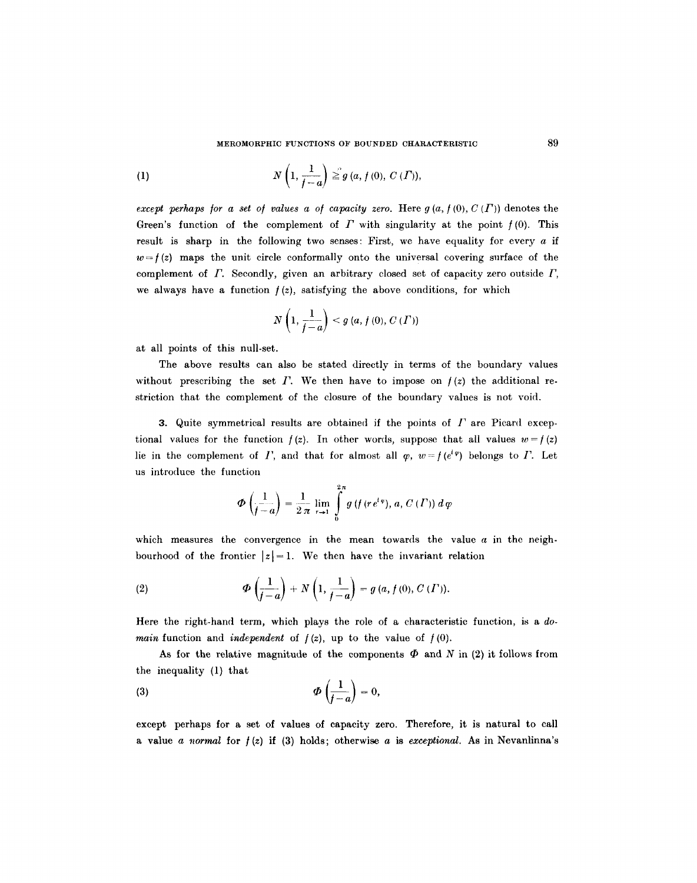(1) 
$$
N\left(1, \frac{1}{f-a}\right) \geq g(a, f(0), C(\Gamma)),
$$

*except perhaps for a set of values a of capacity zero.* Here  $g(a, f(0), C(\Gamma))$  denotes the Green's function of the complement of  $\Gamma$  with singularity at the point  $f(0)$ . This result is sharp in the following two senses: First, we have equality for every  $a$  if  $w=f(z)$  maps the unit circle conformally onto the universal covering surface of the complement of  $\Gamma$ . Secondly, given an arbitrary closed set of capacity zero outside  $\Gamma$ , we always have a function  $f(z)$ , satisfying the above conditions, for which

$$
N\left(1,\frac{1}{f-a}\right) < g\left(a,f\left(0\right),C\left(\varGamma\right)\right)
$$

at all points of this null-set.

The above results can also be stated directly in terms of the boundary values without prescribing the set  $\Gamma$ . We then have to impose on  $f(z)$  the additional restriction that the complement of the closure of the boundary values is not void.

3. Quite symmetrical results are obtained if the points of  $\Gamma$  are Picard exceptional values for the function  $f(z)$ . In other words, suppose that all values  $w = f(z)$ lie in the complement of I', and that for almost all  $\varphi$ ,  $w=f(e^{i\varphi})$  belongs to I'. Let us introduce the function

$$
\Phi\left(\frac{1}{f-a}\right)=\frac{1}{2\pi}\lim_{r\to 1}\int\limits_{0}^{2\pi}g\left(f\left(re^{i\,\psi}\right),\,a,\,C\left(\varGamma\right)\right)d\,\varphi
$$

which measures the convergence in the mean towards the value  $a$  in the neighbourhood of the frontier  $|z|=1$ . We then have the invariant relation

(2) 
$$
\Phi\left(\frac{1}{f-a}\right) + N\left(1, \frac{1}{f-a}\right) = g\left(a, f\left(0\right), C\left(\Gamma\right)\right).
$$

Here the right-hand term, which plays the role of a characteristic function, is a *domain* function and *independent* of  $f(z)$ , up to the value of  $f(0)$ .

As for the relative magnitude of the components  $\Phi$  and N in (2) it follows from the inequality (1) that

$$
\Phi\left(\frac{1}{f-a}\right)=0,
$$

except perhaps for a set of values of capacity zero. Therefore, it is natural to call a value a *normal* for  $f(z)$  if (3) holds; otherwise a is *exceptional*. As in Nevanlinna's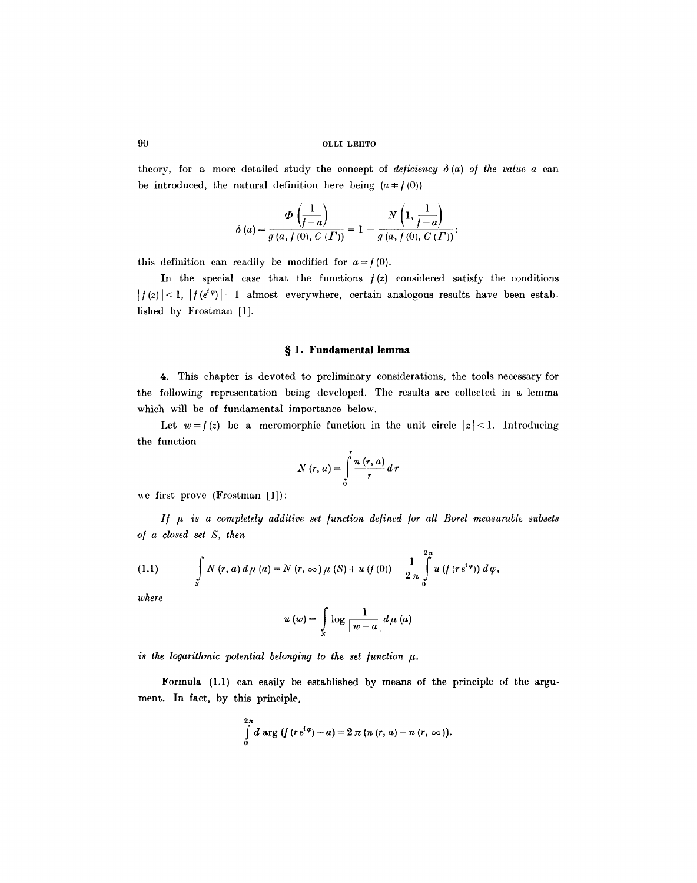theory, for a more detailed study the concept of *deficiency*  $\delta(a)$  of the value a can be introduced, the natural definition here being  $(a \neq f(0))$ 

$$
\delta(a) = \frac{\Phi\left(\frac{1}{f-a}\right)}{g\left(a, f\left(0\right), C\left(\overline{I'}\right)\right)} = 1 - \frac{N\left(1, \frac{1}{f-a}\right)}{g\left(a, f\left(0\right), C\left(\overline{I'}\right)\right)};
$$

this definition can readily be modified for  $a = f(0)$ .

In the special case that the functions  $f(z)$  considered satisfy the conditions  $| f(z) |$  < 1,  $| f(e^{i\varphi}) |$  = 1 almost everywhere, certain analogous results have been established by Frostman [1].

## **w l. Fundamental lemma**

4. This chapter is devoted to preliminary considerations, the tools necessary for the following representation being developed. The results are collected in a lemma which will be of fundamental importance below.

Let  $w=f(z)$  be a meromorphic function in the unit circle  $|z|<1$ . Introducing the function

$$
N(r, a) = \int\limits_0^r \frac{n(r, a)}{r} d r
$$

we first prove (Frostman [1]):

*I/ # is a completely additive set /unction de/ined [or all Borel measurable subsets o[ a closed set S, then* 

(1.1) 
$$
\int_{S} N(r, a) d\mu(a) = N(r, \infty) \mu(S) + u(f(0)) - \frac{1}{2\pi} \int_{0}^{2\pi} u(f(re^{i\varphi})) d\varphi,
$$

*where* 

$$
u(w) = \int\limits_{S} \log \frac{1}{|w-a|} d\mu(a)
$$

*is the logarithmic potential belonging to the set function*  $\mu$ *.* 

Formula (1.1) can easily be established by means of the principle of the argument. In faet, by this principle,

$$
\int_{0}^{2\pi} d \arg (f (re^{i \varphi})-a) = 2 \pi (n (r, a)-n (r, \infty)).
$$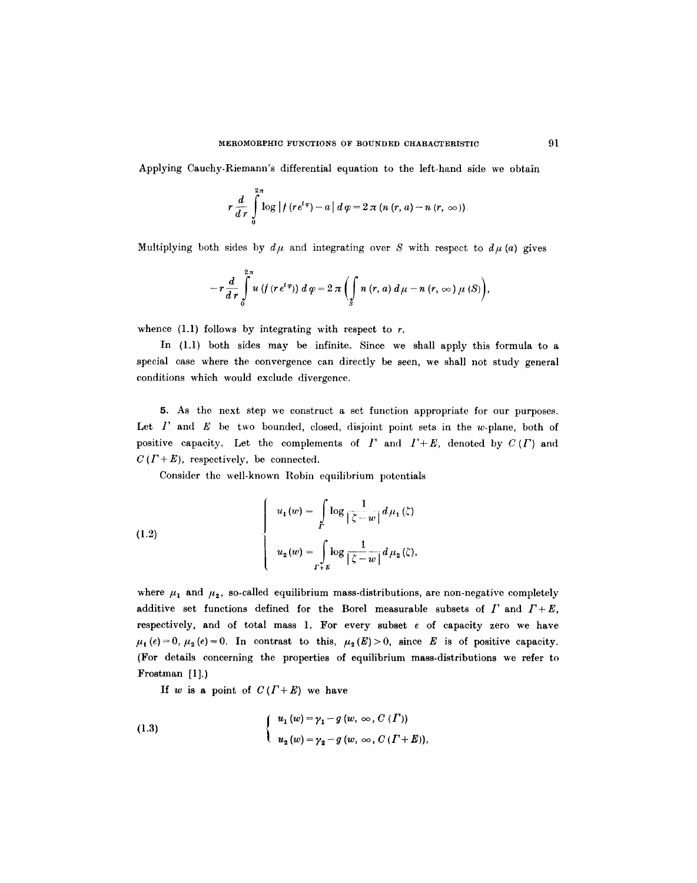Applying Cauchy-Riemann's differential equation to the left-hand side we obtain

$$
r\frac{d}{dr}\int_{0}^{2\pi}\log|f(re^{t\varphi})-a|d\varphi=2\pi (n (r, a)-n (r, \infty)).
$$

Multiplying both sides by  $d\mu$  and integrating over S with respect to  $d\mu~(a)$  gives

$$
-r\frac{d}{dr}\int\limits_{0}^{2\pi} u\left(f\left(r\,e^{i\,\varphi}\right)\right)\,d\,\varphi=2\,\pi\left(\int\limits_{S} n\left(r,\,a\right)\,d\,\mu-n\left(r,\,\infty\right)\mu\left(S\right)\right),
$$

whence  $(1.1)$  follows by integrating with respect to r.

In (1.1) both sides may be infinite. Since we shall apply this formula to a special case where the convergence can directly be seen, we shall not study general conditions which would exclude divergence.

5. As the next step we construct a sct function appropriate for our purposes. Let  $I'$  and  $E$  be two bounded, closed, disjoint point sets in the w-plane, both of positive capacity. Let the complements of  $\Gamma$  and  $\Gamma + E$ , denoted by  $C(\Gamma)$  and  $C(T+E)$ , respectively, be connected.

Consider the well-known Robin equilibrium potentials

(1.2)  

$$
\begin{cases}\nu_1(w) = \int\limits_{\Gamma} \log \frac{1}{|\zeta - w|} d\mu_1(\zeta) \\
u_2(w) = \int\limits_{\Gamma + \varepsilon} \log \frac{1}{|\zeta - w|} d\mu_2(\zeta),\n\end{cases}
$$

where  $\mu_1$  and  $\mu_2$ , so-called equilibrium mass-distributions, are non-negative completely additive set functions defined for the Borel measurable subsets of  $\Gamma$  and  $\Gamma + E$ , respectively, and of total mass 1. For every subset e of capacity zero we have  $\mu_1$  (e) = 0,  $\mu_2$  (e) = 0. In contrast to this,  $\mu_2(E) > 0$ , since E is of positive capacity. (For details concerning the properties of equilibrium mass-distributions we refer to Frostman [1].)

If w is a point of  $C(T+E)$  we have

(1.3) 
$$
\begin{cases} u_1(w) = \gamma_1 - g(w, \infty, C(\Gamma)) \\ u_2(w) = \gamma_2 - g(w, \infty, C(\Gamma + E)), \end{cases}
$$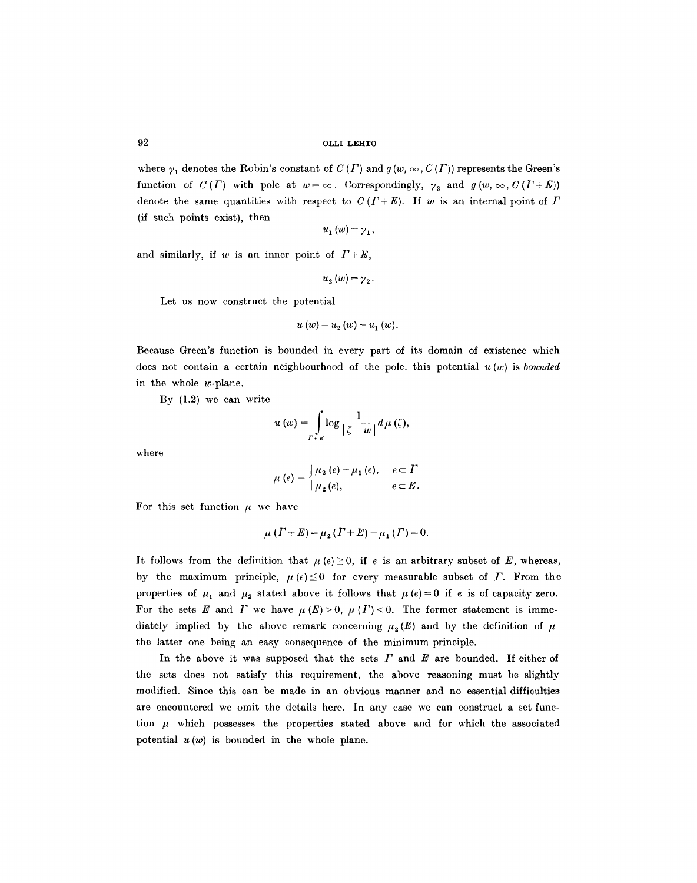where  $\gamma_1$  denotes the Robin's constant of  $C(\Gamma)$  and  $g(w, \infty, C(\Gamma))$  represents the Green's function of  $C(\Gamma)$  with pole at  $w=\infty$ . Correspondingly,  $\gamma_2$  and  $g(w,\infty,C(\Gamma+E))$ denote the same quantities with respect to  $C(T+E)$ . If w is an internal point of  $\Gamma$ (if such points exist), then

$$
u_{1}\left( w\right) =\gamma _{1},
$$

and similarly, if w is an inner point of  $\Gamma + E$ ,

$$
u_{_{2}}\left( w\right) =\gamma_{\,2}\,.
$$

Let us now construct the potential

$$
u(w) = u_2(w) - u_1(w).
$$

Because Green's function is bounded in every part of its domain of existence which does not contain a certain neighbourhood of the pole, this potential u (w) is *bounded*  in the whole w-plane.

By (1.2) we can write

$$
u(w) = \int\limits_{\Gamma + \mathcal{E}} \log \frac{1}{|\zeta - w|} d\mu(\zeta),
$$

where

$$
\mu(e) = \begin{cases} \mu_2(e) - \mu_1(e), & e \subset \Gamma \\ \mu_2(e), & e \subset E. \end{cases}
$$

For this set function  $\mu$  we have

$$
\mu(I+E) = \mu_2(I+E) - \mu_1(I) = 0.
$$

It follows from the definition that  $\mu$  (e)  $\geq$  0, if e is an arbitrary subset of *E*, whereas, by the maximum principle,  $\mu(e) \leq 0$  for every measurable subset of  $\Gamma$ . From the properties of  $\mu_1$  and  $\mu_2$  stated above it follows that  $\mu(e)=0$  if e is of capacity zero. For the sets E and I' we have  $\mu(E) > 0$ ,  $\mu(I') < 0$ . The former statement is immediately implied by the above remark concerning  $\mu_2(E)$  and by the definition of  $\mu$ the latter one being an easy consequence of the minimum principle.

In the above it was supposed that the sets  $\Gamma$  and  $E$  are bounded. If either of the sets does not satisfy this requirement, the above reasoning must be slightly modified. Since this can be made in an obvious manner and no essential difficulties are encountered we omit the details here. In any case we can construct a set function  $\mu$  which possesses the properties stated above and for which the associated potential  $u(w)$  is bounded in the whole plane.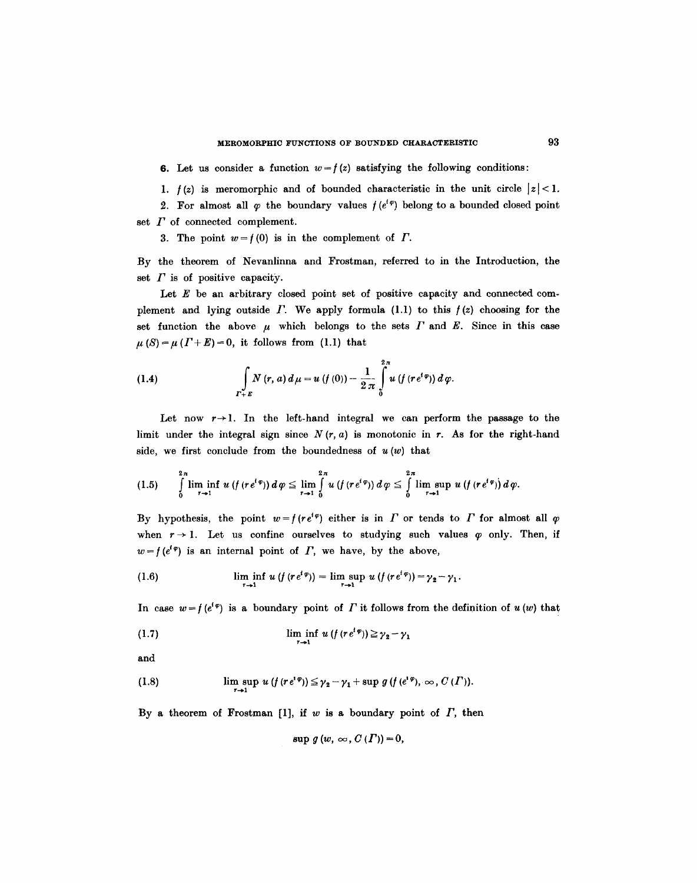6. Let us consider a function  $w = f(z)$  satisfying the following conditions:

1.  $f(z)$  is meromorphic and of bounded characteristic in the unit circle  $|z| < 1$ .

2. For almost all  $\varphi$  the boundary values  $f(e^{t\varphi})$  belong to a bounded closed point set  $\Gamma$  of connected complement.

3. The point  $w = f(0)$  is in the complement of  $\Gamma$ .

By the theorem of Nevanlinna and Frostman, referred to in the Introduction, the set  $\Gamma$  is of positive capacity.

Let  $E$  be an arbitrary closed point set of positive capacity and connected complement and lying outside  $\Gamma$ . We apply formula (1.1) to this  $f(z)$  choosing for the set function the above  $\mu$  which belongs to the sets  $\Gamma$  and  $E$ . Since in this case  $\mu(S) = \mu(r+E) = 0$ , it follows from (1.1) that

(1.4) 
$$
\int_{\Gamma+E} N(r,a) d\mu = u(f(0)) - \frac{1}{2\pi} \int_{0}^{2\pi} u(f(re^{t\varphi})) d\varphi.
$$

Let now  $r \rightarrow 1$ . In the left-hand integral we can perform the passage to the limit under the integral sign since  $N(r, a)$  is monotonic in r. As for the right-hand side, we first conclude from the boundedness of  $u(w)$  that

$$
(1.5) \qquad \int\limits_{0}^{2\pi}\liminf_{r\to 1} u\left(f\left(re^{i\,\phi}\right)\right)d\,\varphi \leq \lim_{r\to 1}\int\limits_{0}^{2\pi} u\left(f\left(re^{i\,\phi}\right)\right)d\,\varphi \leq \int\limits_{0}^{2\pi}\limsup_{r\to 1} u\left(f\left(re^{i\,\phi}\right)\right)d\,\varphi.
$$

By hypothesis, the point  $w=f(re^{i\varphi})$  either is in  $\Gamma$  or tends to  $\Gamma$  for almost all  $\varphi$ when  $r \rightarrow 1$ . Let us confine ourselves to studying such values  $\varphi$  only. Then, if  $w=f(e^{i\varphi})$  is an internal point of  $\Gamma$ , we have, by the above,

(1.6) 
$$
\liminf_{r \to 1} u(f(re^{i\varphi})) = \limsup_{r \to 1} u(f(re^{i\varphi})) = \gamma_2 - \gamma_1.
$$

In case  $w = f(e^{i\varphi})$  is a boundary point of  $\Gamma$  it follows from the definition of  $u(w)$  that

(1.7) 
$$
\liminf_{r \to 1} u(f(re^{i\varphi})) \geq \gamma_2 - \gamma_1
$$

and

(1.8) 
$$
\limsup_{r\to 1} u(f(re^{i\varphi})) \leq \gamma_2 - \gamma_1 + \sup g(f(e^{i\varphi}), \infty, C(\Gamma)).
$$

By a theorem of Frostman [1], if  $w$  is a boundary point of  $\Gamma$ , then

$$
\sup g(w, \infty, C(\Gamma)) = 0,
$$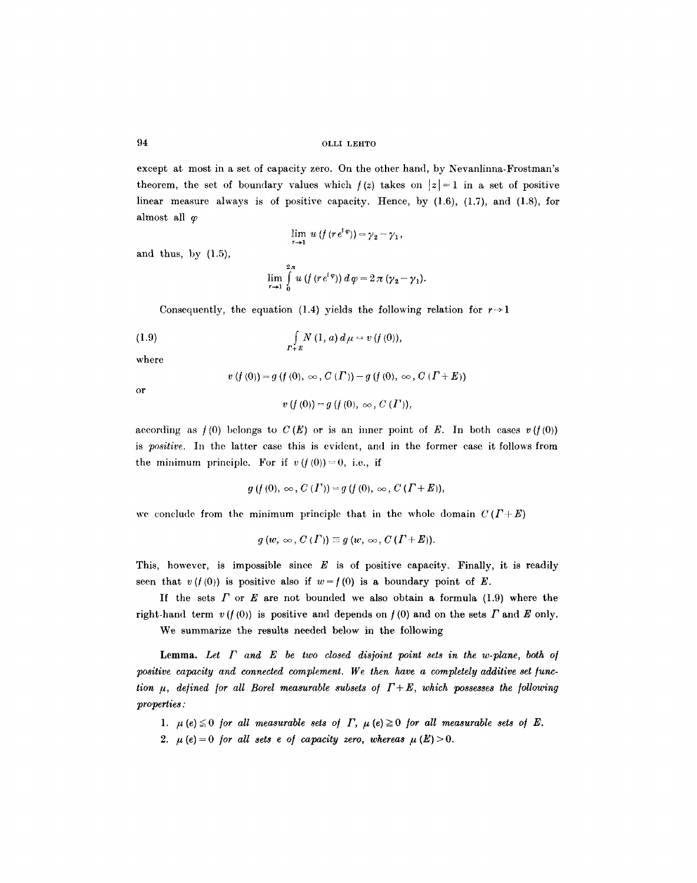except at most in a set of capacity zero. On the other hand, by Nevanlinna-Frostman's theorem, the set of boundary values which  $f(z)$  takes on  $|z|=1$  in a set of positive linear measure always is of positive capacity. Hence, by (1.6), (1.7), and (1.8), for almost all  $\varphi$ 

$$
\lim_{r\to 1} u\left(f\left(re^{i\varphi}\right)\right) = \gamma_2 - \gamma_1,
$$

and thus, by  $(1.5)$ ,

$$
\lim_{r\to 1}\int\limits_{0}^{2\pi} u\left(f\left(r\,e^{i\,\varphi}\right)\right)d\,\varphi=2\,\pi\,(\gamma_2-\gamma_1).
$$

Consequently, the equation (1.4) yields the following relation for  $r \rightarrow 1$ 

(1.9) 
$$
\int_{\Gamma+E} N(1, a) d\mu = v(f(0)),
$$

where

$$
v(f(0)) = g(f(0), \infty, C(\Gamma)) - g(f(0), \infty, C(\Gamma + E))
$$

or

$$
v(f(0))=g(f(0),\,\infty\,,\,C\,( \varGamma)),
$$

according as  $f(0)$  belongs to  $C(E)$  or is an inner point of E. In both cases  $v(f(0))$ is *positive.* In the latter case this is evident, and in the former case it follows from the minimum principle. For if  $v(f(0))=0$ , i.e., if

$$
g(f(0), \infty, C(I')) = g(f(0), \infty, C(I+E)),
$$

we conclude from the minimum principle that in the whole domain  $C(T+E)$ 

$$
g(w, \infty, C(\Gamma)) \equiv g(w, \infty, C(\Gamma + E)).
$$

This, however, is impossible since  $E$  is of positive capacity. Finally, it is readily seen that  $v(f(0))$  is positive also if  $w=f(0)$  is a boundary point of E.

If the sets  $\Gamma$  or  $E$  are not bounded we also obtain a formula (1.9) where the right-hand term  $v(f(0))$  is positive and depends on  $f(0)$  and on the sets  $\Gamma$  and  $E$  only.

We summarize the results needed below in the following

Lemma. Let  $\Gamma$  and  $E$  be two closed disjoint point sets in the w-plane, both of positive capacity and connected complement. We then have a completely additive set func*tion*  $\mu$ *, defined for all Borel measurable subsets of*  $\Gamma + E$ *, which possesses the following properties:* 

- 1.  $\mu(e) \leq 0$  *for all measurable sets of*  $\Gamma$ ,  $\mu(e) \geq 0$  *for all measurable sets of*  $E$ .
- 2.  $\mu$  (e) = 0 for all sets e of capacity zero, whereas  $\mu$  (E) > 0.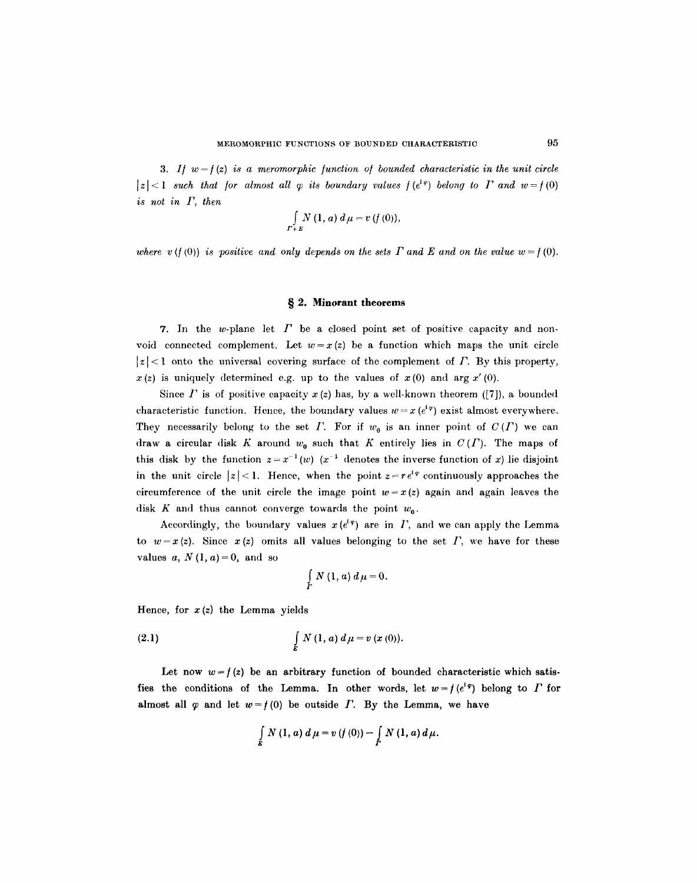3. If  $w = f(z)$  is a meromorphic function of bounded characteristic in the unit circle  $|z|<1$  such that for almost all  $\varphi$  its boundary values  $f(e^{i\varphi})$  belong to  $\Gamma$  and  $w=f(0)$ *is not in F, then* 

$$
\int\limits_{\Gamma+E} N\left(1,a\right)d\mu=v\left(f\left(0\right)\right),\,
$$

where  $v(f(0))$  is positive and only depends on the sets  $\Gamma$  and  $E$  and on the value  $w = f(0)$ .

#### **w 2. Minorant theorems**

7. In the w-plane let  $\Gamma$  be a closed point set of positive capacity and nonvoid connected complement. Let  $w=x (z)$  be a function which maps the unit circle  $|z| < 1$  onto the universal covering surface of the complement of  $\Gamma$ . By this property,  $x(z)$  is uniquely determined e.g. up to the values of  $x(0)$  and arg  $x'(0)$ .

Since  $\Gamma$  is of positive capacity  $x(z)$  has, by a well-known theorem ([7]), a bounded characteristic function. Hence, the boundary values  $w = x (e^{i\varphi})$  exist almost everywhere. They necessarily belong to the set I. For if  $w_0$  is an inner point of  $C(T)$  we can draw a circular disk K around  $w_0$  such that K entirely lies in  $C(T)$ . The maps of this disk by the function  $z = x^{-1}(w)$  ( $x^{-1}$  denotes the inverse function of x) lie disjoint in the unit circle  $|z| < 1$ . Hence, when the point  $z = r e^{i\varphi}$  continuously approaches the circumference of the unit circle the image point  $w = x(z)$  again and again leaves the disk K and thus cannot converge towards the point  $w_0$ .

Accordingly, the boundary values  $x(e^{i\varphi})$  are in  $\Gamma$ , and we can apply the Lemma to  $w=x(z)$ . Since  $x(z)$  omits all values belonging to the set  $\Gamma$ , we have for these values  $a, N(1, a) = 0$ , and so

$$
\int\limits_{\Gamma} N\left(1,a\right)d\mu=0.
$$

Hence, for  $x(z)$  the Lemma yields

(2.1) 
$$
\int\limits_{E} N(1, a) d\mu = v(x(0)).
$$

Let now  $w=f(z)$  be an arbitrary function of bounded characteristic which satisfies the conditions of the Lemma. In other words, let  $w = f(e^{i\varphi})$  belong to  $\Gamma$  for almost all  $\varphi$  and let  $w=f(0)$  be outside  $\Gamma$ . By the Lemma, we have

$$
\int_{E} N(1, a) d \mu = v(f(0)) - \int_{F} N(1, a) d \mu.
$$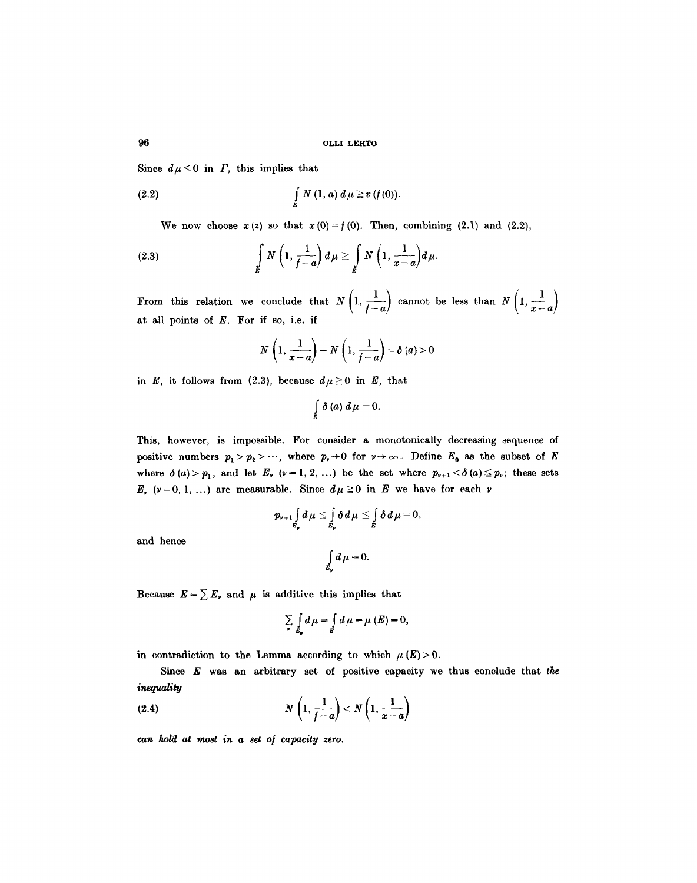Since  $d\mu \leq 0$  in  $\Gamma$ , this implies that

(2.2) 
$$
\int\limits_{E} N(1, a) d\mu \geq v(f(0)).
$$

We now choose  $x (z)$  so that  $x (0) = f (0)$ . Then, combining (2.1) and (2.2),

(2.3) 
$$
\int\limits_E N\left(1,\frac{1}{f-a}\right)d\mu \geq \int\limits_E N\left(1,\frac{1}{x-a}\right)d\mu.
$$

From this relation we conclude that  $N\left(1, \frac{1}{f-a}\right)$  cannot be less than  $N\left(1, \frac{1}{x-a}\right)$ at all points of  $E$ . For if so, i.e. if

$$
N\left(1,\frac{1}{x-a}\right)-N\left(1,\frac{1}{f-a}\right)=\delta\left(a\right)>0
$$

in *E*, it follows from (2.3), because  $d\mu \ge 0$  in *E*, that

$$
\int\limits_E \delta\left(a\right)\,d\,\mu=0.
$$

This, however, is impossible. For consider a monotonically decreasing sequence of positive numbers  $p_1 > p_2 > \cdots$ , where  $p_r \to 0$  for  $r \to \infty$ . Define  $E_0$  as the subset of E where  $\delta(a) > p_1$ , and let  $E_r$ ,  $(v=1, 2, ...)$  be the set where  $p_{r+1} < \delta(a) \leq p_r$ ; these sets  $E_r$  ( $\nu=0, 1, ...$ ) are measurable. Since  $d\mu\geq 0$  in E we have for each  $\nu$ 

$$
p_{\nu+1}\int\limits_{\mathcal{E}_{\nu}}d\mu\leq \int\limits_{\mathcal{E}_{\nu}}\delta\,d\mu\leq \int\limits_{E}\delta\,d\mu=0,
$$

and hence

$$
\int\limits_{E_{\mathfrak{p}}} d\,\mu=0.
$$

Because  $E = \sum E_r$ , and  $\mu$  is additive this implies that

$$
\sum_{\mu} \int_{E_{\mu}} d\mu = \int_{E} d\mu = \mu(E) = 0,
$$

in contradiction to the Lemma according to which  $\mu(E) > 0$ .

Since E was an arbitrary set of positive capacity we thus conclude that *the inequality* 

$$
(2.4) \t\t N\left(1,\frac{1}{f-a}\right) < N\left(1,\frac{1}{x-a}\right)
$$

*ca~t hold at most in a set o[ capacity zero.*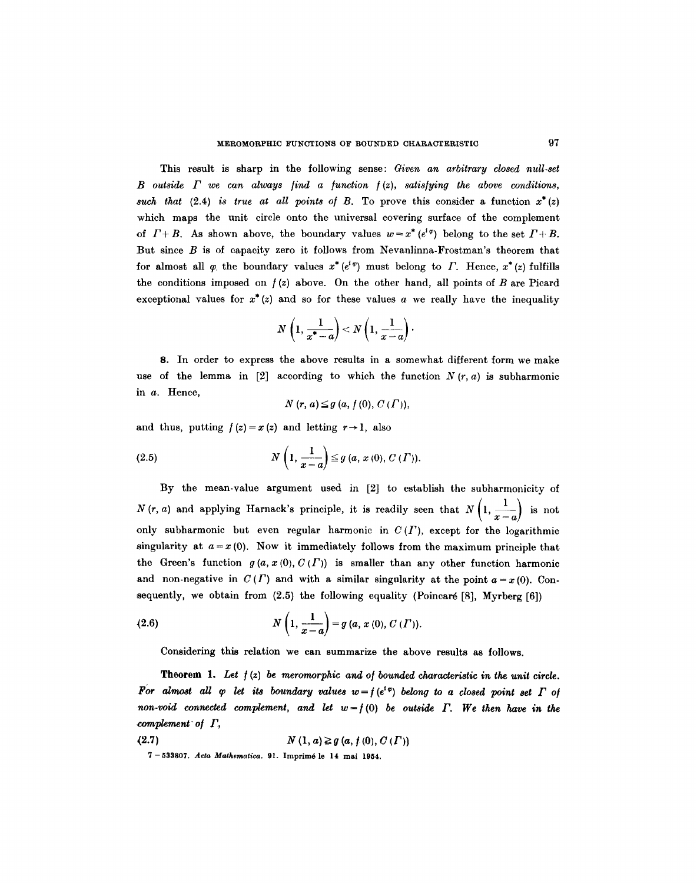This result is sharp in the following sense: *Given an arbitrary closed null-set*   $B$  outside  $\Gamma$  we can always find a function  $f(z)$ , satisfying the above conditions, *such that*  $(2.4)$  *is true at all points of B.* To prove this consider a function  $x^*(z)$ which maps the unit circle onto the universal covering surface of the complement of  $\Gamma + B$ . As shown above, the boundary values  $w = x^* (e^{i\varphi})$  belong to the set  $\Gamma + B$ . But since  $B$  is of capacity zero it follows from Nevanlinna-Frostman's theorem that for almost all  $\varphi$  the boundary values  $x^*(e^{i\varphi})$  must belong to  $\Gamma$ . Hence,  $x^*(z)$  fulfills the conditions imposed on  $f(z)$  above. On the other hand, all points of B are Picard exceptional values for  $x^*(z)$  and so for these values a we really have the inequality

$$
N\left(1,\frac{1}{x^*-a}\right)
$$

8. In order to express the above results in a somewhat different form we make use of the lemma in  $[2]$  according to which the function  $N(r, a)$  is subharmonic in a. Hence,

 $N(r, a) \leq g(a, f(0), C(\Gamma)),$ 

and thus, putting  $f(z) = x(z)$  and letting  $r \rightarrow 1$ , also

(2.5) 
$$
N\left(1,\frac{1}{x-a}\right) \leq g\left(a, x\left(0\right), C\left(\varGamma\right)\right).
$$

By the mean-value argument used in [2] to establish the subharmonieity of *N*(r, *a*) and applying Harnack's principle, it is readily seen that  $N\left(1, \frac{1}{x-a}\right)$  is not only subharmonic but even regular harmonic in  $C(T)$ , except for the logarithmic singularity at  $a = x(0)$ . Now it immediately follows from the maximum principle that the Green's function  $g(a, x(0), C(\Gamma))$  is smaller than any other function harmonic and non-negative in  $C(\Gamma)$  and with a similar singularity at the point  $a=x(0)$ . Con-

sequently, we obtain from (2.5) the following equality (Poincaré [8], Myrberg [6])  
(2.6) 
$$
N\left(1, \frac{1}{x-a}\right) = g\left(a, x\left(0\right), C\left(\Gamma\right)\right).
$$

Considering this relation we can summarize the above results as follows.

**Theorem** *1. Let / (z) be meromorphie and o/bounded characteristic in the unit circle. For almost all*  $\varphi$  *let its boundary values*  $w = f(e^{i\varphi})$  *belong to a closed point set*  $\Gamma$  *of non-void connected complement, and let*  $w = f(0)$  *be outside*  $\Gamma$ *. We then have in the*  $$ 

(2.7)  $N(1, a) \ge g(a, f(0), C(\Gamma))$ 

7-533807. *Acta Mathematica.* 91. Imprim6 le 14 mai 1954.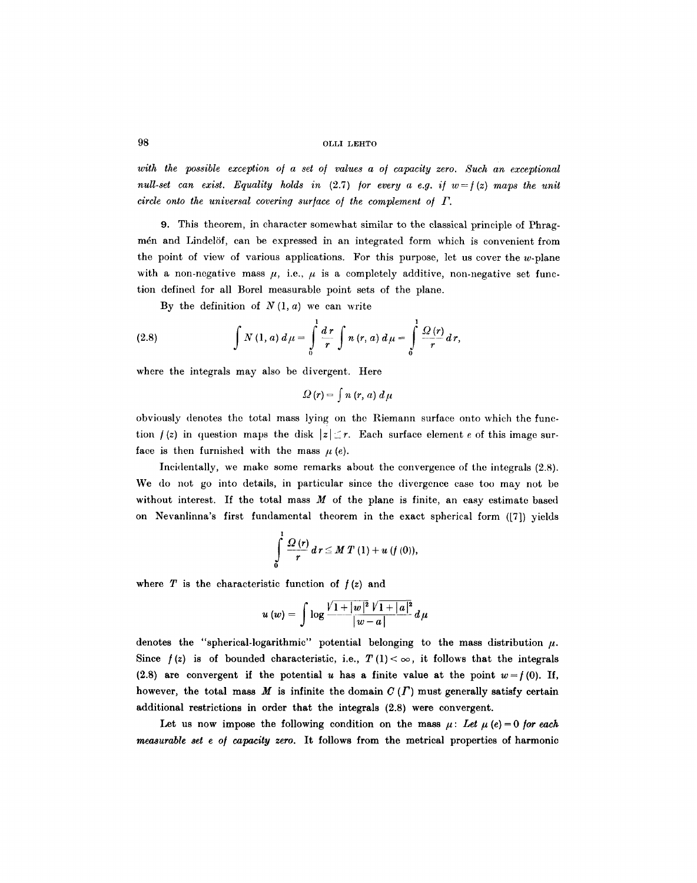with the possible exception of a set of values a of capacity zero. Such an exceptional *null-set can exist. Equality holds in (2.7) for every a e.g. if*  $w = f(z)$  *maps the unit circle onto the universal covering sur/ace o/ the complement o/ F.* 

9. This theorem, in character somewhat similar to the classical principle of Phragmén and Lindelöf, can be expressed in an integrated form which is convenient from the point of view of various applications. For this purpose, let us cover the  $w$ -plane with a non-negative mass  $\mu$ , i.e.,  $\mu$  is a completely additive, non-negative set function defined for all Borel measurable point sets of the plane.

By the definition of  $N(1, a)$  we can write

(2.8) 
$$
\int N(1, a) d\mu = \int_{0}^{1} \frac{dr}{r} \int n(r, a) d\mu = \int_{0}^{1} \frac{\Omega(r)}{r} dr,
$$

where the integrals may also be divergent. Here

$$
\varOmega\left(r\right)=\int n\left(r,\,a\right)\,d\,\mu
$$

obviously denotes the total mass lying on the Riemann surface onto which the function  $f(z)$  in question maps the disk  $|z| \leq r$ . Each surface element e of this image surface is then furnished with the mass  $\mu$  (e).

Incidentally, we make some remarks about the convergence of the integrals (2.8). We do not go into details, in particular since the divergence case too may not be without interest. If the total mass  $M$  of the plane is finite, an easy estimate based on Nevanlinna's first fundamental theorem in the exact spherical form ([7]} yields

$$
\int\limits_{0}^{1}\frac{\Omega\left( r\right) }{r}~d\,r\leq M\;T\left( 1\right) +u\left( f\left( 0\right) \right) ,
$$

where  $T$  is the characteristic function of  $f(z)$  and

$$
u(w) = \int \log \frac{\sqrt{1+|w|^2} \sqrt{1+|a|^2}}{|w-a|} d\mu
$$

denotes the "spherical-logarithmic" potential belonging to the mass distribution  $\mu$ . Since  $f(z)$  is of bounded characteristic, i.e.,  $T(1) < \infty$ , it follows that the integrals (2.8) are convergent if the potential u has a finite value at the point  $w = f(0)$ . If, however, the total mass M is infinite the domain  $C(T)$  must generally satisfy certain additional restrictions in order that the integrals (2.8) were convergent.

Let us now impose the following condition on the mass  $\mu$ : Let  $\mu$  (e) = 0 for each *measurable set e o/ capacity zero.* It follows from the metrical properties of harmonic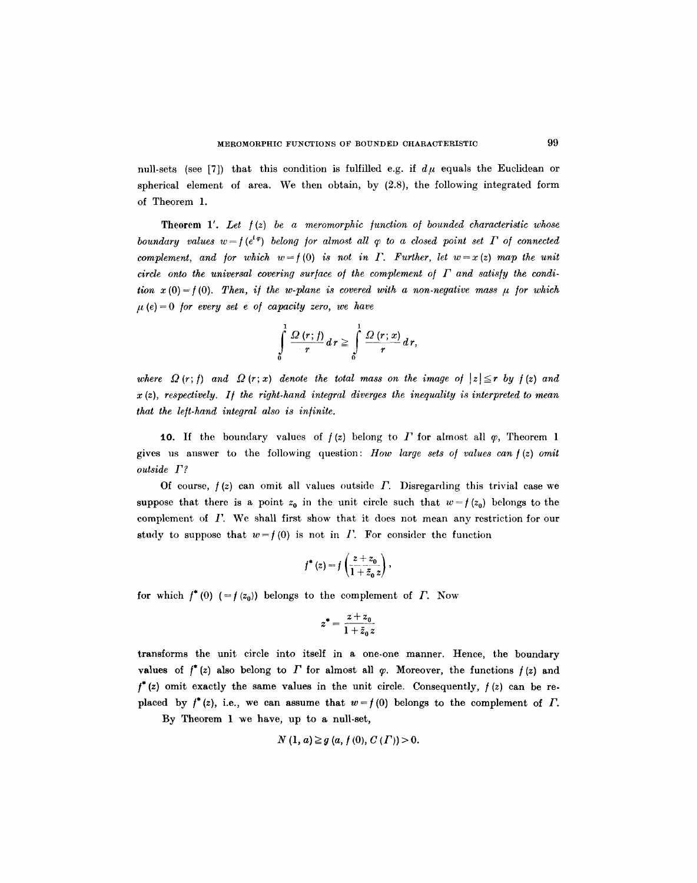null-sets (see [7]) that this condition is fulfilled e.g. if  $d\mu$  equals the Euclidean or spherical element of area. We then obtain, by (2.8), the following integrated form of Theorem 1.

Theorem 1'. *Let /(z) be a meromorphic /unction o/ bounded characteristic whose boundary values w =*  $f(e^{i\varphi})$  *belong for almost all*  $\varphi$  *to a closed point set*  $\Gamma$  *of connected complement, and for which w=f(0) is not in*  $\Gamma$ *. Further, let w=x(z) map the unit*  $circle$  onto the universal covering surface of the complement of  $\Gamma$  and satisfy the condi*tion*  $x(0) = f(0)$ . Then, if the w-plane is covered with a non-negative mass  $\mu$  for which  $\mu$  (e) = 0 *for every set e of capacity zero, we have* 

$$
\int\limits_{0}^{1}\frac{\Omega(r;h)}{r}dr\geq \int\limits_{0}^{1}\frac{\Omega(r;x)}{r}dr,
$$

where  $\Omega(r;f)$  and  $\Omega(r;x)$  denote the total mass on the image of  $|z| \leq r$  by  $f(z)$  and x (z), *respectively. I/ the right-hand integral diverges the inequality is interpreted to mean that the le/t-hand integral also is in/inite.* 

10. If the boundary values of  $f(z)$  belong to  $\Gamma$  for almost all  $\varphi$ , Theorem 1 gives us answer to the following question: *How large sets o/ values can/(z) omit outside F?* 

Of course,  $f(z)$  can omit all values outside  $\Gamma$ . Disregarding this trivial case we suppose that there is a point  $z_0$  in the unit circle such that  $w=f(z_0)$  belongs to the complement of  $\Gamma$ . We shall first show that it does not mean any restriction for our study to suppose that  $w=f(0)$  is not in I. For consider the function

$$
f^*(z) = f\left(\frac{z+z_0}{1+\bar{z}_0\,z}\right),\,
$$

for which  $f^*(0)$  (=  $f(z_0)$ ) belongs to the complement of  $\Gamma$ . Now

$$
z^*=\frac{z+z_0}{1+\bar{z}_0\,z}
$$

transforms the unit circle into itself in a one-one manner. Hence, the boundary values of  $f^*(z)$  also belong to  $\Gamma$  for almost all  $\varphi$ . Moreover, the functions  $f(z)$  and  $f^*(z)$  omit exactly the same values in the unit circle. Consequently,  $f(z)$  can be replaced by  $f^*(z)$ , i.e., we can assume that  $w = f(0)$  belongs to the complement of  $\Gamma$ .

By Theorem 1 we have, up to a null-set,

$$
N(1, a) \ge g(a, f(0), C(\Gamma)) > 0.
$$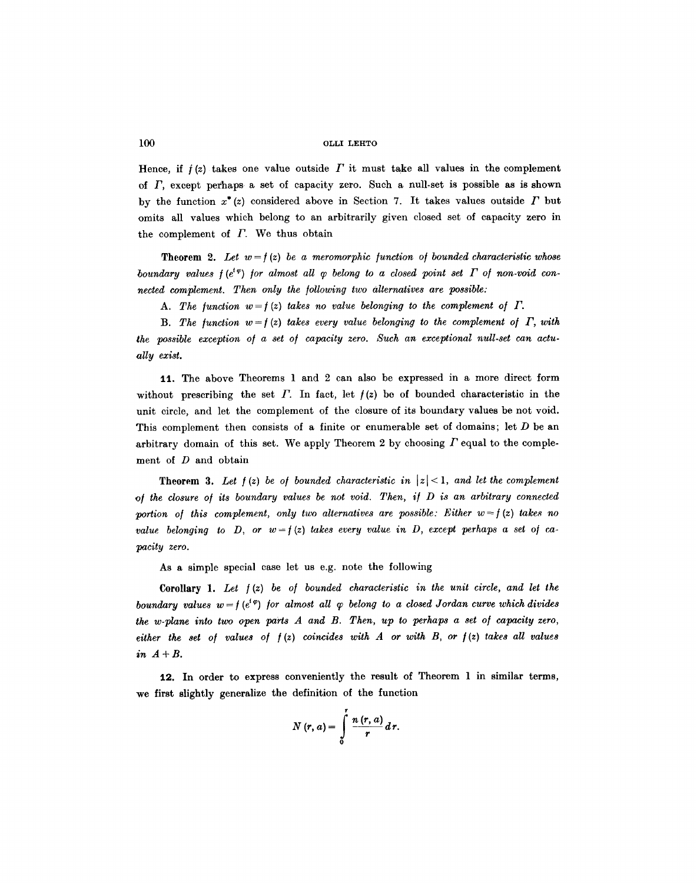Hence, if  $f(z)$  takes one value outside  $\Gamma$  it must take all values in the complement of  $\Gamma$ , except perhaps a set of capacity zero. Such a null-set is possible as is shown by the function  $x^*(z)$  considered above in Section 7. It takes values outside  $\Gamma$  but omits all values which belong to an arbitrarily given closed set of capacity zero in the complement of  $\Gamma$ . We thus obtain

**Theorem 2.** Let  $w = f(z)$  be a meromorphic function of bounded characteristic whose *boundary values*  $f(e^{i\varphi})$  *for almost all*  $\varphi$  *belong to a closed point set*  $\Gamma$  *of non-void connected complement. Then only the /ollowing two alternatives are possible:* 

A. The function  $w=f(z)$  takes no value belonging to the complement of  $\Gamma$ .

**B.** The function  $w = f(z)$  takes every value belonging to the complement of  $\Gamma$ , with the possible exception of a set of capacity zero. Such an exceptional null-set can actu*ally exist.* 

11. The above Theorems 1 and 2 can also be expressed in a more direct form without prescribing the set  $\Gamma$ . In fact, let  $f(z)$  be of bounded characteristic in the unit circle, and let the complement of the closure of its boundary values be not void. This complement then consists of a finite or enumerable set of domains; let  $D$  be an arbitrary domain of this set. We apply Theorem 2 by choosing  $\Gamma$  equal to the complement of D and obtain

**Theorem 3.** Let  $f(z)$  be of bounded characteristic in  $|z| < 1$ , and let the complement *o~ the closure o/ its boundary values be not void. Then, i/ D is an arbitrary connected*  portion of this complement, only two alternatives are possible: Either  $w = f(z)$  takes no *value belonging to D, or*  $w = f(z)$  *takes every value in D, except perhaps a set of capacity zero.* 

As a simple special case let us e.g. note the following

Corollary 1. Let  $f(z)$  be of bounded characteristic in the unit circle, and let the *boundary values w = f*( $e^{i\varphi}$ ) *for almost all*  $\varphi$  *belong to a closed Jordan curve which divides the w-plane into two open parts A and B. Then, up to perhaps a set of capacity zero,*  $either$  the set of values of  $f(z)$  coincides with  $A$  or with  $B$ , or  $f(z)$  takes all values *in A+B.* 

12. In order to express conveniently the result of Theorem 1 in similar terms, we first slightly generalize the definition of the function

$$
N(r, a) = \int\limits_0^r \frac{n(r, a)}{r} d r.
$$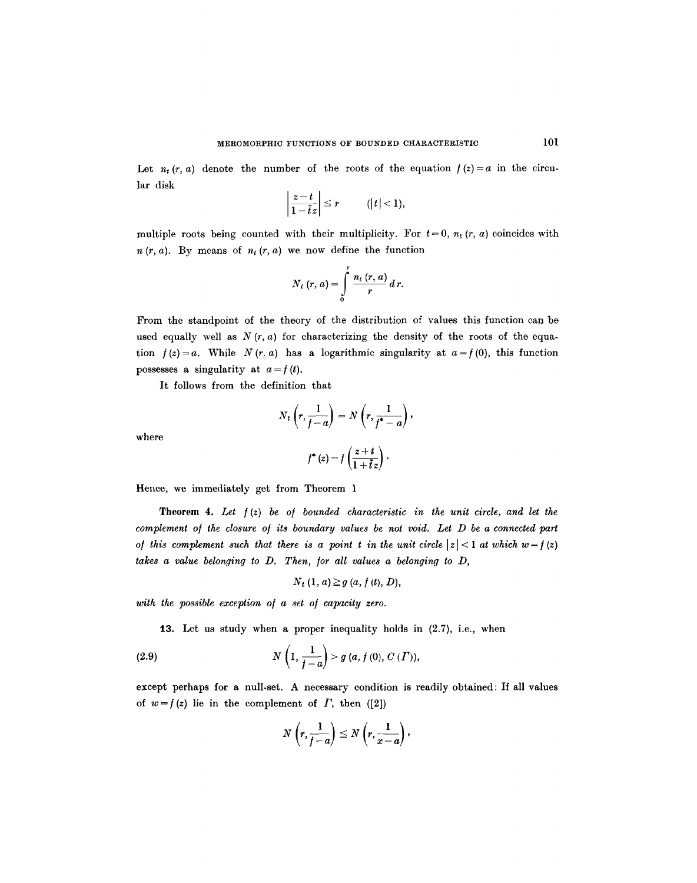Let  $n_t$  (r, a) denote the number of the roots of the equation  $f(z) = a$  in the circular disk

$$
\left|\frac{z-t}{1-\overline{t}z}\right|\leq r \qquad (|t|<1),
$$

multiple roots being counted with their multiplicity. For  $t=0$ ,  $n_t$   $(r, a)$  coincides with  $n(r, a)$ . By means of  $n_t(r, a)$  we now define the function

$$
N_t(r, a) = \int\limits_0^r \frac{n_t(r, a)}{r} d r.
$$

From the standpoint of the theory of the distribution of values this function can be used equally well as  $N(r, a)$  for characterizing the density of the roots of the equation  $f(z) = a$ . While  $N(r, a)$  has a logarithmic singularity at  $a = f(0)$ , this function possesses a singularity at  $a = f(t)$ .

It follows from the definition that

$$
N_t\left(r, \frac{1}{f-a}\right) = N\left(r, \frac{1}{f^*-a}\right),\,
$$

$$
f^*(z) = f\left(\frac{z+t}{z}\right).
$$

where

$$
f^*(z) = f\left(\frac{z+t}{1+\overline{t}z}\right).
$$

Hence, we immediately get from Theorem 1

Theorem 4. *Let /(z) be o/ bounded characteristic in the unit circle, and let the complement o/ the closure o/ its boundary values be not void. Let D be a connected part of this complement such that there is a point t in the unit circle*  $|z| < 1$  *at which w = f (z) takes a value belonging to D. Then, /or all values a belonging to D,* 

$$
N_t(1, a) \geq g(a, f(t), D),
$$

with the possible exception of a set of capacity zero.

13. Let us study when a proper inequality holds in  $(2.7)$ , i.e., when

(2.9) 
$$
N\left(1,\frac{1}{f-a}\right) > g\left(a,f\left(0\right),C\left(\Gamma\right)\right),
$$

except perhaps for a null-set. A necessary condition is readily obtained: If all values of  $w=f(z)$  lie in the complement of  $\Gamma$ , then ([2])

$$
N\left(r,\frac{1}{f-a}\right)\leq N\left(r,\frac{1}{x-a}\right),
$$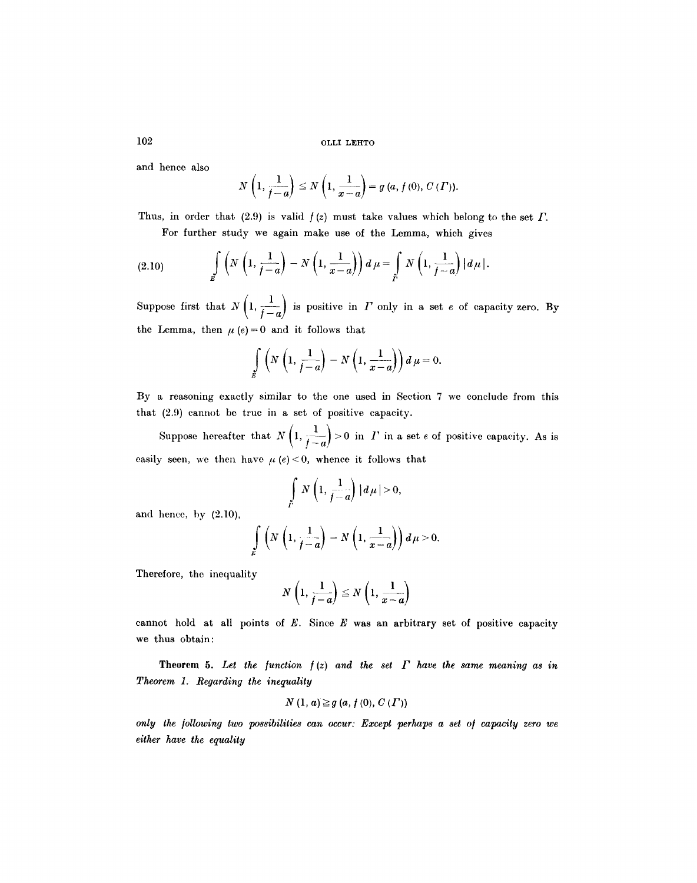and hence also

$$
N\left(1,\frac{1}{f-a}\right)\leq N\left(1,\frac{1}{x-a}\right)=g\left(a,f\left(0\right),C\left(\varGamma\right)\right).
$$

Thus, in order that (2.9) is valid  $f(z)$  must take values which belong to the set  $\Gamma$ . For further study we again make use of the Lemma, which gives

(2.10) 
$$
\int\limits_E \left( N\left(1,\frac{1}{f-a}\right)-N\left(1,\frac{1}{x-a}\right) \right)d\mu = \int\limits_E N\left(1,\frac{1}{f-a}\right)|d\mu|.
$$

Suppose first that  $N\left(1, \frac{1}{f-a}\right)$  is positive in  $\Gamma$  only in a set  $e$  of capacity zero. By the Lemma, then  $\mu (e) = 0$  and it follows that

$$
\int\limits_E \left(N\left(1,\frac{1}{f-a}\right)-N\left(1,\frac{1}{x-a}\right)\right)d\mu=0.
$$

By a reasoning exactly similar to the one used in Section 7 we conclude from this that (2.9) cannot be true in a set of positive capacity.

Suppose hereafter that  $N\left(1, \frac{1}{f-a}\right) > 0$  in  $I'$  in a set e of positive capacity. As is easily seen, we then have  $\mu$  (e) < 0, whence it follows that

$$
\int\limits_{\Gamma} N\left(1,\frac{1}{f-a}\right) |a\mu| > 0,
$$

and hence, by (2.10),

$$
\int\limits_E \left(N\left(1,\frac{1}{f-a}\right)-N\left(1,\frac{1}{x-a}\right)\right)d\mu>0.
$$

Therefore, the inequality

$$
N\left(1,\frac{1}{f-a}\right)\leq N\left(1,\frac{1}{x-a}\right)
$$

cannot hold at all points of  $E$ . Since  $E$  was an arbitrary set of positive capacity we thus obtain:

**Theorem 5.** Let the function  $f(z)$  and the set  $\Gamma$  have the same meaning as in *Theorem 1. Regarding the inequality* 

$$
N(1, a) \geq g(a, f(0), C(\Gamma))
$$

*only the /ollowing two possibilities can occur: Except perhaps a set o/ capacity zero we either have the equality* 

102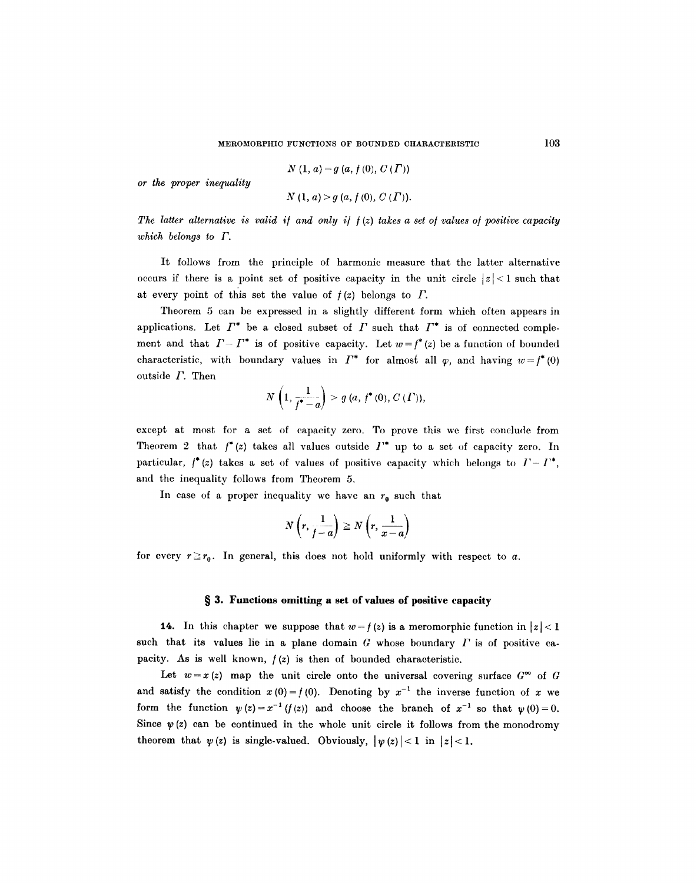$$
N(1, a) = g(a, f(0), C(\Gamma))
$$

*or the proper inequality* 

$$
N(1, a) > g(a, f(0), C(\Gamma)).
$$

The latter alternative is valid if and only if  $f(z)$  takes a set of values of positive capacity *which belongs to F.* 

It follows from the principle of harmonic measure that the latter alternative occurs if there is a point set of positive capacity in the unit circle  $|z| < 1$  such that at every point of this set the value of  $f(z)$  belongs to  $\Gamma$ .

Theorem 5 can be expressed in a slightly different form which often appears in applications. Let  $\Gamma^*$  be a closed subset of  $\Gamma$  such that  $\Gamma^*$  is of connected complement and that  $I-I^*$  is of positive capacity. Let  $w=f^*(z)$  be a function of bounded characteristic, with boundary values in  $\Gamma^*$  for almost all  $\varphi$ , and having  $w=f^*(0)$ outside  $I$ . Then  $N\left(1-\frac{1}{\sqrt{1-\frac{1}{2}}}\right) > a\left(a+\frac{1}{2}\right)$ 

$$
N\left(1,\frac{1}{f^*-a}\right) > g\ (a,\ f^*(0),\ C\ (T)),
$$

except at most for a set of capacity zero. To prove this we first conclude from Theorem 2 that  $f^*(z)$  takes all values outside  $I^*$  up to a set of capacity zero. In particular,  $f^*(z)$  takes a set of values of positive capacity which belongs to  $\Gamma - \Gamma^*$ , and the inequality follows from Theorem 5.

In case of a proper inequality we have an  $r_0$  such that

$$
N\left(r,\frac{1}{f-a}\right)\geq N\left(r,\frac{1}{x-a}\right)
$$

for every  $r \ge r_0$ . In general, this does not hold uniformly with respect to a.

#### **w 3. Functions omitting a set of values of positive capacity**

**14.** In this chapter we suppose that  $w = f(z)$  is a meromorphic function in  $|z| < 1$ such that its values lie in a plane domain  $G$  whose boundary  $\Gamma$  is of positive capacity. As is well known,  $f(z)$  is then of bounded characteristic.

Let  $w=x(z)$  map the unit circle onto the universal covering surface  $G^{\infty}$  of G and satisfy the condition  $x(0)=f(0)$ . Denoting by  $x^{-1}$  the inverse function of x we form the function  $\psi(z)=x^{-1}(f(z))$  and choose the branch of  $x^{-1}$  so that  $\psi(0)=0$ . Since  $\psi(z)$  can be continued in the whole unit circle it follows from the monodromy theorem that  $\psi(z)$  is single-valued. Obviously,  $|\psi(z)| < 1$  in  $|z| < 1$ .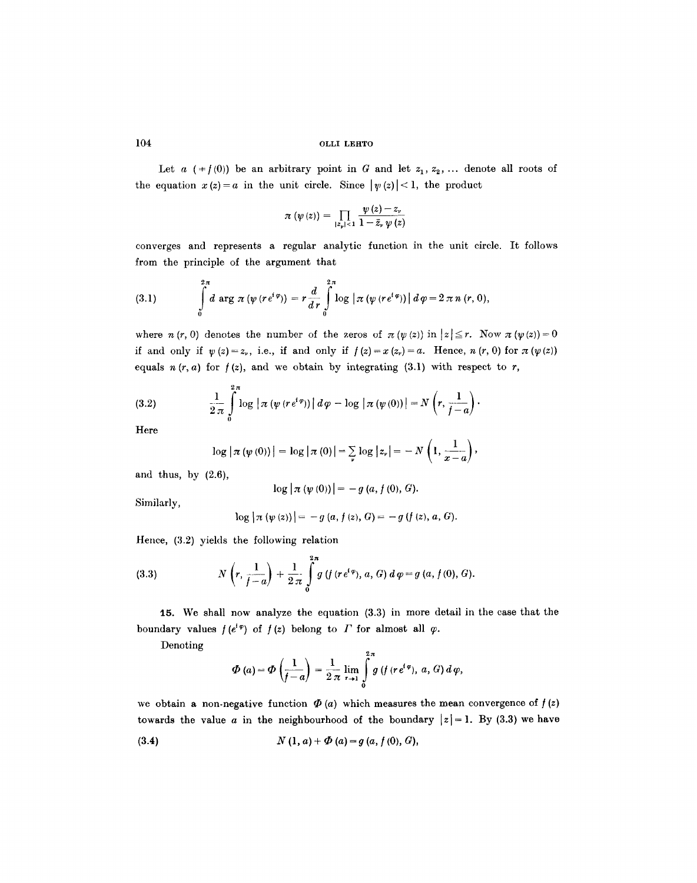Let a  $( f(0) )$  be an arbitrary point in G and let  $z_1, z_2, ...$  denote all roots of the equation  $x(z)=a$  in the unit circle. Since  $| \psi(z) |$  < 1, the product

$$
\pi(\psi(z)) = \prod_{|z_{\mathfrak{p}}| < 1} \frac{\psi(z) - z_{\mathfrak{p}}}{1 - \bar{z}_{\mathfrak{p}} \psi(z)}
$$

converges and represents a regular analytic function in the unit circle. It follows from the principle of the argument that

(3.1) 
$$
\int_{0}^{2\pi} d \arg \pi (\psi (re^{i\varphi})) = r \frac{d}{dr} \int_{0}^{2\pi} \log |\pi (\psi (re^{i\varphi}))| d \varphi = 2 \pi n (r, 0),
$$

where  $n (r, 0)$  denotes the number of the zeros of  $\pi (\psi (z))$  in  $|z| \leq r$ . Now  $\pi (\psi (z)) = 0$ if and only if  $\psi(z)=z_{\nu}$ , i.e., if and only if  $f(z)=x(z_{\nu})=a$ . Hence,  $n(r, 0)$  for  $\pi(\psi(z))$ equals  $n(r, a)$  for  $f(z)$ , and we obtain by integrating (3.1) with respect to r,

(3.2) 
$$
\frac{1}{2 \pi} \int_{0}^{2 \pi} \log |\pi (\psi (re^{i\varphi}))| d\varphi - \log |\pi (\psi (0))| = N \left(r, \frac{1}{f-a}\right).
$$

Here

$$
\log |\pi (\psi (0))| = \log |\pi (0)| = \sum_{\nu} \log |z_{\nu}| = -N \left(1, \frac{1}{x-a}\right),
$$

and thus, by  $(2.6)$ ,

$$
-\log |\pi (\psi (0))| = -g (a, f (0), G).
$$

Similarly,

$$
\log |\pi (\psi (z))| = -g (a, f(z), G) = -g (f (z), a, G).
$$

Hence, (3.2) yields the following relation

(3.3) 
$$
N\left(r,\frac{1}{f-a}\right)+\frac{1}{2\pi}\int\limits_{0}^{2\pi}g\left(f(r e^{i\varphi}),a,G\right)d\varphi=g\left(a,f(0),G\right).
$$

15. We shall now analyze the equation (3.3) in more detail in the case that the boundary values  $f(e^{i\varphi})$  of  $f(z)$  belong to  $\Gamma$  for almost all  $\varphi$ .

Denoting

$$
\Phi\left(a\right)=\Phi\left(\frac{1}{f-a}\right)=\frac{1}{2\,\pi}\lim_{r\to 1}\int\limits_{0}^{2\,\pi}g\left(f\left(r\,e^{i\,\varphi}\right),\,a,\,G\right)d\,\varphi,
$$

we obtain a non-negative function  $\Phi(a)$  which measures the mean convergence of  $f(z)$ towards the value a in the neighbourhood of the boundary  $|z|=1$ . By (3.3) we have

(3.4) 
$$
N(1, a) + \Phi(a) = g(a, f(0), G),
$$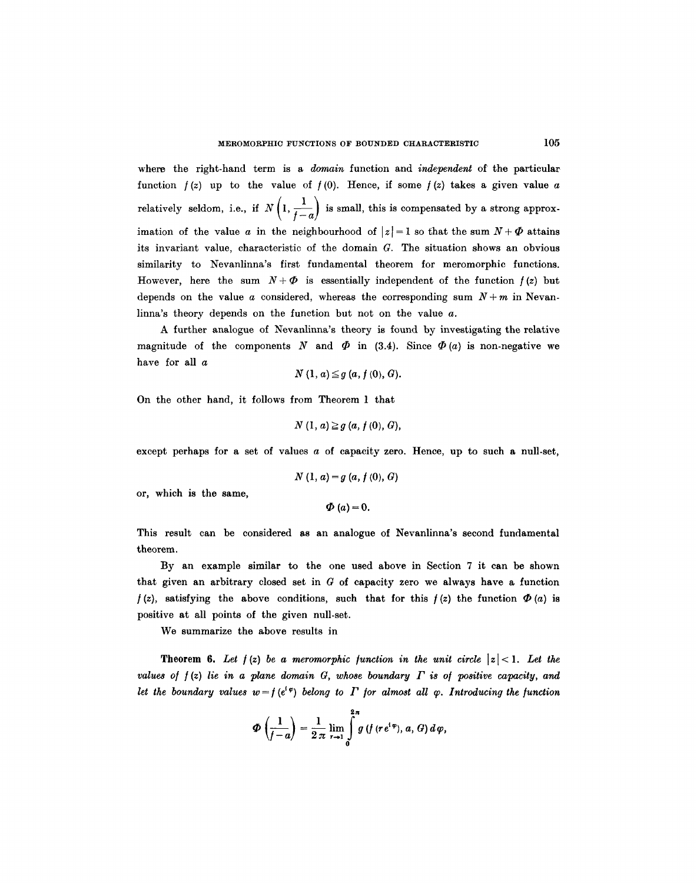where the right-hand term is a *domain* function and *independent* of the particular function  $f(z)$  up to the value of  $f(0)$ . Hence, if some  $f(z)$  takes a given value a relatively seldom, i.e., if  $N\left(1, \frac{1}{f-a}\right)$  is small, this is compensated by a strong approximation of the value a in the neighbourhood of  $|z|=1$  so that the sum  $N+\Phi$  attains its invariant value, characteristic of the domain  $G$ . The situation shows an obvious similarity to Nevanlinna's first fundamental theorem for meromorphic functions. However, here the sum  $N+\Phi$  is essentially independent of the function  $f(z)$  but depends on the value a considered, whereas the corresponding sum  $N + m$  in Nevanlinna's theory depends on the function but not on the value a.

A further analogue of Nevanlinna's theory is found by investigating the relative magnitude of the components N and  $\Phi$  in (3.4). Since  $\Phi$  (a) is non-negative we have for all a

 $N(1, a) \leq q(a, f(0), G).$ 

On the other hand, it follows from Theorem 1 that

$$
N(1, a) \geq g(a, f(0), G),
$$

except perhaps for a set of values a of capacity zero. Hence, up to such a null-set,

$$
N(1, a) = g(a, f(0), G)
$$

or, which is the same,

 $\Phi(a) = 0.$ 

This result can be considered as an analogue of Nevanlinna's second fundamental theorem.

By an example similar to the one used above in Section 7 it can be shown that given an arbitrary closed set in  $G$  of capacity zero we always have a function  $f(z)$ , satisfying the above conditions, such that for this  $f(z)$  the function  $\Phi(a)$  is positive at all points of the given null-set.

We summarize the above results in

**Theorem 6.** Let  $f(z)$  be a meromorphic function in the unit circle  $|z| < 1$ . Let the *values of*  $f(z)$  *lie in a plane domain G, whose boundary*  $\Gamma$  *is of positive capacity, and let the boundary values w=f(e'<sup>e</sup>) belong to*  $\Gamma$  *for almost all*  $\varphi$ *. Introducing the function* 

$$
\Phi\left(\frac{1}{f-a}\right)=\frac{1}{2\pi}\lim_{r\to 1}\int\limits_{0}^{2\pi}g\left(f\left(re^{i\,\phi}\right),\,a,\,G\right)d\,\varphi,
$$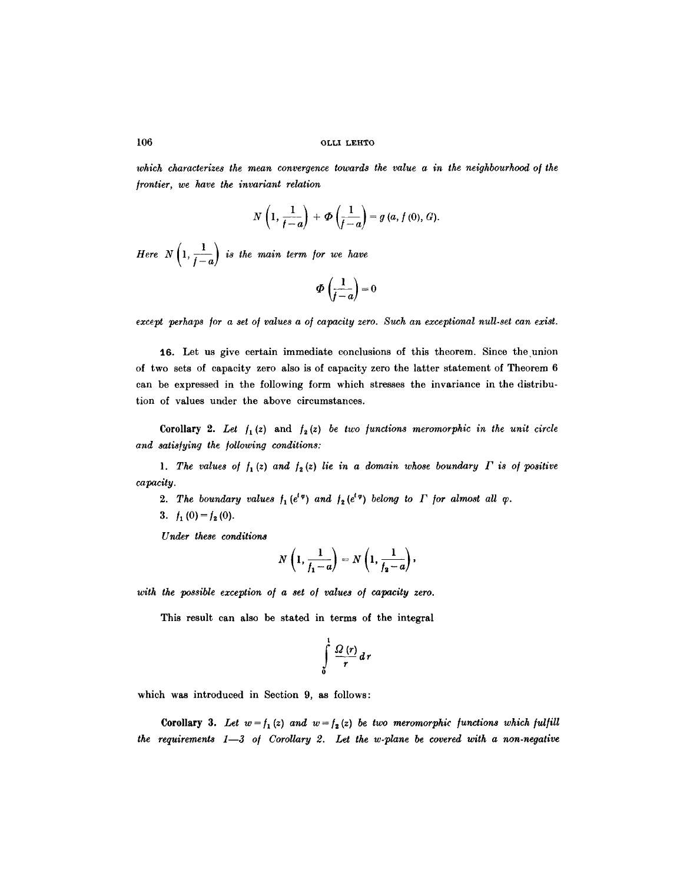which characterizes the mean convergence towards the value a in the neighbourhood of the *]rontier, we have the invariant relation* 

$$
N\left(1,\frac{1}{f-a}\right)+\Phi\left(\frac{1}{f-a}\right)=g\left(a,f\left(0\right),G\right).
$$

*Here*  $N\left(1, \frac{1}{f-a}\right)$  *is the main term for we have* 

$$
\Phi\left(\frac{1}{f-a}\right)=0
$$

except perhaps for a set of values a of capacity zero. Such an exceptional null-set can exist.

16. Let us give certain immediate conclusions of this theorem. Since the union of two sets of capacity zero also is of capacity zero the latter statement of Theorem 6 can be expressed in the following form which stresses the invariance in the distribution of values under the above circumstances.

Corollary 2. Let  $f_1(z)$  and  $f_2(z)$  be two functions meromorphic in the unit circle and satisfying the following conditions:

1. The values of  $f_1(z)$  and  $f_2(z)$  lie in a domain whose boundary  $\Gamma$  is of positive *capacity.* 

2. The boundary values  $f_1(e^{i\varphi})$  and  $f_2(e^{i\varphi})$  belong to  $\Gamma$  for almost all  $\varphi$ .

3.  $f_1(0) = f_2(0)$ .

*Under these conditions* 

$$
N\left(1,\frac{1}{f_1-a}\right)=N\left(1,\frac{1}{f_2-a}\right),\,
$$

with the possible exception of a set of values of capacity zero.

This result can also be stated in terms of the integral

$$
\int\limits_{0}^{1}\frac{\Omega(r)}{r}dr
$$

which was introduced in Section 9, as follows:

**Corollary 3.** *Let*  $w = f_1(z)$  and  $w = f_2(z)$  be two meromorphic functions which fulfill *the requirements 1-3 of Corollary 2. Let the w.plane be covered with a non-negative*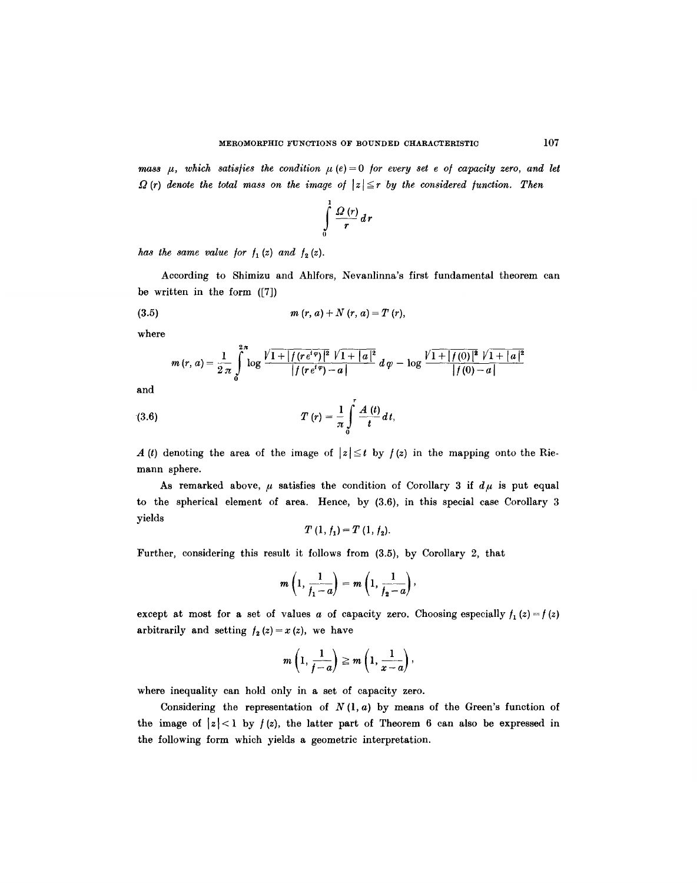*mass*  $\mu$ *, which satisfies the condition*  $\mu$  (e) = 0 *for every set e of capacity zero, and let*  $\Omega$  *(r) denote the total mass on the image of*  $|z| \le r$  *by the considered function. Then* 

$$
\int\limits_{0}^{1}\frac{\Omega(r)}{r}dr
$$

*has the same value for*  $f_1(z)$  *and*  $f_2(z)$ *.* 

According to Shimizu and Ahlfors, Nevanlinna's first fundamental theorem can be written in the form ([7])

(3.5)

\n
$$
m(r, a) + N(r, a) = T(r),
$$

where

$$
m(r, a) = \frac{1}{2\pi} \int_{0}^{2\pi} \log \frac{\sqrt{1 + |f(re^{i\varphi})|^2} \sqrt{1 + |a|^2}}{|f(re^{i\varphi}) - a|} d\varphi - \log \frac{\sqrt{1 + |f(0)|^2} \sqrt{1 + |a|^2}}{|f(0) - a|}
$$

and

(3.6) 
$$
T(r) = \frac{1}{\pi} \int_{0}^{r} \frac{A(t)}{t} dt,
$$

A (t) denoting the area of the image of  $|z| \leq t$  by  $f(z)$  in the mapping onto the Riemann sphere.

As remarked above,  $\mu$  satisfies the condition of Corollary 3 if  $d\mu$  is put equal to the spherical element of area. Hence, by (3.6), in this special case Corollary 3 yields

$$
T(1, f_1) = T(1, f_2).
$$

Further, considering this result it follows from (3.5), by Corollary 2, that

$$
m\left(1,\frac{1}{f_1-a}\right)=m\left(1,\frac{1}{f_2-a}\right),\,
$$

except at most for a set of values a of capacity zero. Choosing especially  $f_1(z) = f(z)$ arbitrarily and setting  $f_2(z)=x(z)$ , we have

$$
m\left(1,\frac{1}{f-a}\right)\geq m\left(1,\frac{1}{x-a}\right),\,
$$

where inequality can hold only in a set of capacity zero.

Considering the representation of  $N(1, a)$  by means of the Green's function of the image of  $|z| < 1$  by  $f(z)$ , the latter part of Theorem 6 can also be expressed in the following form which yields a geometric interpretation.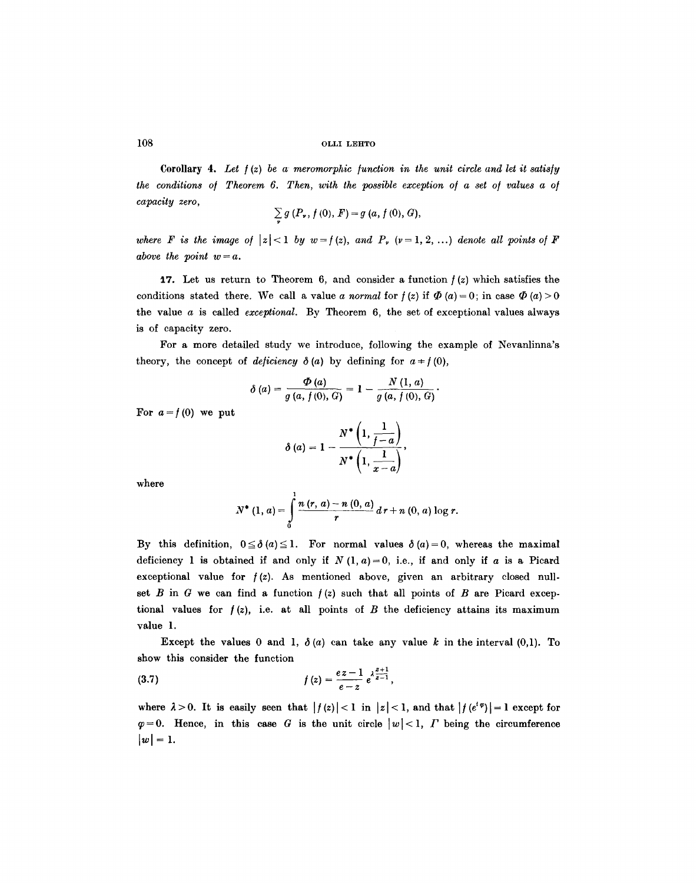Corollary 4. *Let / (z) be a meromorphic /unction in the unit circle and let it satis/y the conditions of Theorem 6. Then, with the possible exception of a set of values a of capacity zero,* 

$$
\sum g(P_{\nu}, f(0), F) = g(a, f(0), G),
$$

*v* 

*where* F is the image of  $|z| < 1$  by  $w = f(z)$ , and  $P_r$   $(v=1, 2, ...)$  denote all points of F *above the point*  $w = a$ *.* 

17. Let us return to Theorem 6, and consider a function  $f(z)$  which satisfies the conditions stated there. We call a value *a normal* for  $f(z)$  if  $\Phi(a) = 0$ ; in case  $\Phi(a) > 0$ the value  $\alpha$  is called *exceptional*. By Theorem  $6$ , the set of exceptional values always is of capacity zero.

For a more detailed study we introduce, following the example of Nevanlinna's theory, the concept of *deficiency*  $\delta(a)$  by defining for  $a \neq f(0)$ ,

$$
\delta(a) = \frac{\Phi(a)}{g(a, f(0), G)} = 1 - \frac{N(1, a)}{g(a, f(0), G)}.
$$

For  $a=f(0)$  we put

$$
\delta(a) = 1 - \frac{N^* \left(1, \frac{1}{f-a}\right)}{N^* \left(1, \frac{1}{x-a}\right)},
$$

where

$$
N^{*}(1, a) = \int_{0}^{1} \frac{n(r, a) - n(0, a)}{r} d r + n(0, a) \log r.
$$

By this definition,  $0 \le \delta(a) \le 1$ . For normal values  $\delta(a) = 0$ , whereas the maximal deficiency 1 is obtained if and only if  $N(1, a) = 0$ , i.e., if and only if a is a Picard exceptional value for  $f(z)$ . As mentioned above, given an arbitrary closed nullset B in G we can find a function  $f(z)$  such that all points of B are Picard exceptional values for  $f(z)$ , i.e. at all points of B the deficiency attains its maximum value 1.

Except the values 0 and 1,  $\delta(a)$  can take any value k in the interval (0,1). To show this consider the function

(3.7) 
$$
f(z) = \frac{ez - 1}{e - z} e^{\lambda \frac{z + 1}{z - 1}},
$$

where  $\lambda > 0$ . It is easily seen that  $|f(z)| < 1$  in  $|z| < 1$ , and that  $|f(e^{i\varphi})| = 1$  except for  $\varphi = 0$ . Hence, in this case G is the unit circle  $|w| < 1$ , T being the circumference  $|w|=1.$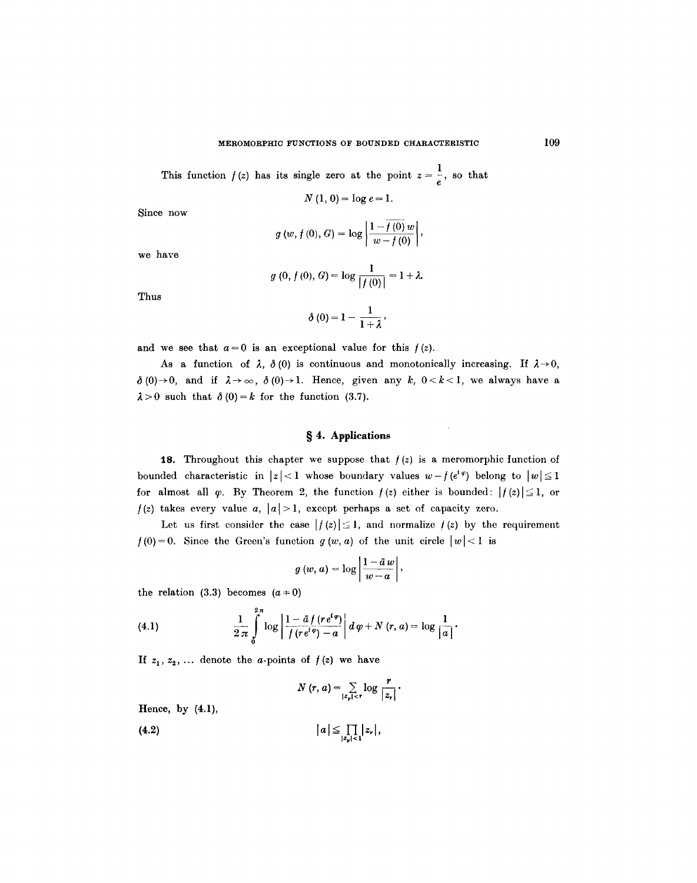This function  $f(z)$  has its single zero at the point  $z = \frac{1}{e}$ , so that

 $N(1, 0) = \log e = 1.$ 

Since now

$$
g(w, f(0), G) = \log \left| \frac{1 - \overline{f(0)} w}{w - f(0)} \right|,
$$

we have

$$
g(0, f(0), G) = \log \frac{1}{|f(0)|} = 1 + \lambda
$$

Thus

$$
\delta\left(0\right)=1-\frac{1}{1+\lambda},
$$

and we see that  $a=0$  is an exceptional value for this  $f(z)$ .

As a function of  $\lambda$ ,  $\delta$  (0) is continuous and monotonically increasing. If  $\lambda \rightarrow 0$ ,  $\delta(0)\rightarrow 0$ , and if  $\lambda\rightarrow\infty$ ,  $\delta(0)\rightarrow 1$ . Hence, given any k,  $0 < k < 1$ , we always have a  $\lambda > 0$  such that  $\delta(0) = k$  for the function (3.7).

# **w 4. Applications**

**18.** Throughout this chapter we suppose that  $f(z)$  is a meromorphic function of bounded characteristic in  $|z| < 1$  whose boundary values  $w = f(e^{i\varphi})$  belong to  $|w| \leq 1$ for almost all  $\varphi$ . By Theorem 2, the function  $f(z)$  either is bounded:  $|f(z)| \leq 1$ , or  $f(z)$  takes every value a,  $|a| > 1$ , except perhaps a set of capacity zero.

Let us first consider the case  $|f(z)| \leq 1$ , and normalize  $f(z)$  by the requirement  $f(0)=0$ . Since the Green's function  $g(w, a)$  of the unit circle  $|w| < 1$  is

$$
g(w, a) = \log \left| \frac{1 - \bar{a} w}{w - a} \right|,
$$

the relation (3.3) becomes  $(a=0)$ 

(4.1) 
$$
\frac{1}{2 \pi} \int_{0}^{2\pi} \log \left| \frac{1 - \bar{a} f(r e^{i \varphi})}{f(r e^{i \varphi}) - a} \right| d \varphi + N(r, a) = \log \frac{1}{|a|}.
$$

If  $z_1, z_2, \ldots$  denote the *a*-points of  $f(z)$  we have

$$
N(r, a) = \sum_{|z_{\nu}| < r} \log \frac{r}{|z_{\nu}|}.
$$

Hence, by (4.1),

$$
(4.2) \t\t |a| \leq \prod_{|z_y| < 1} |z_y|,
$$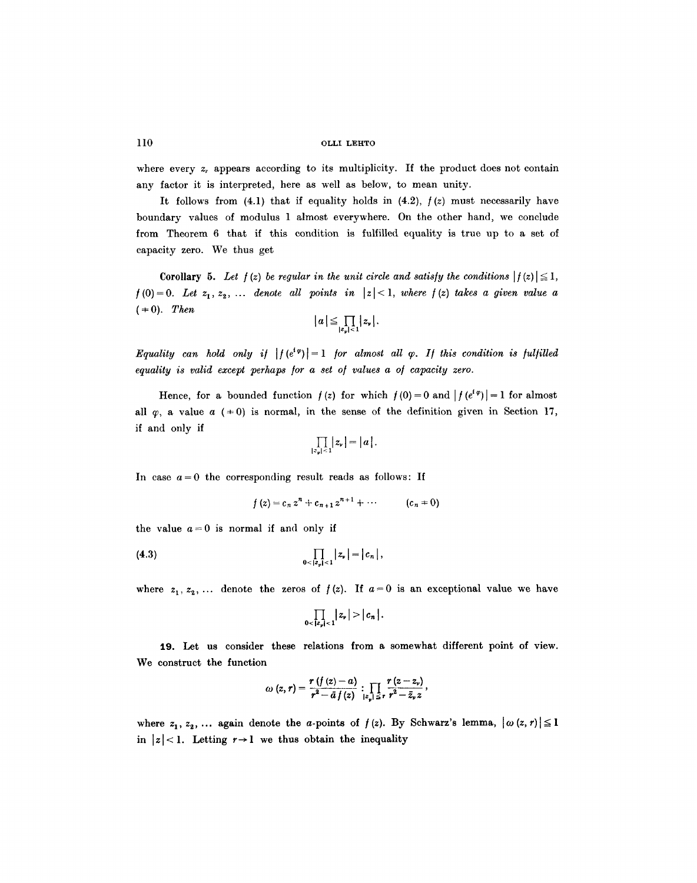where every  $z_r$ , appears according to its multiplicity. If the product does not contain any factor it is interpreted, here as well as below, to mean unity.

It follows from  $(4.1)$  that if equality holds in  $(4.2)$ ,  $f(z)$  must necessarily have boundary values of modulus 1 almost everywhere. On the other hand, we conclude from Theorem 6 that if this condition is fulfilled equality is true up to a set of capacity zero. We thus get

**Corollary 5.** Let  $f(z)$  be regular in the unit circle and satisfy the conditions  $|f(z)| \leq 1$ ,  $f(0)=0$ . Let  $z_1, z_2, \ldots$  denote all points in  $|z|<1$ , where  $f(z)$  takes a given value a *( \* 0). Then* 

$$
|a|\!\leq\!\prod_{|z_{\boldsymbol{\nu}}|<1}\!\!|z_{\boldsymbol{\nu}}|.
$$

*Equality can hold only if*  $|f(e^{i\varphi})|=1$  *for almost all*  $\varphi$ *. If this condition is fulfilled* equality is valid except perhaps for a set of values a of capacity zero.

Hence, for a bounded function  $f(z)$  for which  $f(0) = 0$  and  $|f(e^{i\varphi})| = 1$  for almost all  $\varphi$ , a value  $\alpha$  ( $\pm 0$ ) is normal, in the sense of the definition given in Section 17, if and only if

$$
\prod_{|z_{\mathfrak{p}}|<1}|z_{\mathfrak{p}}|=|a|.
$$

In case  $a=0$  the corresponding result reads as follows: If

$$
f(z) = c_n z^n + c_{n+1} z^{n+1} + \cdots \qquad (c_n = 0)
$$

the value  $a=0$  is normal if and only if

(4.3) 
$$
\prod_{0 < |z_n| < 1} |z_n| = |c_n|,
$$

where  $z_1, z_2, \ldots$  denote the zeros of  $f(z)$ . If  $a=0$  is an exceptional value we have

$$
\prod_{0<|z_{\nu}|<1}|z_{\nu}|>|c_{n}|.
$$

19. Let us consider these relations from a somewhat different point of view. We construct the function

$$
\omega(z,\,r)=\frac{r\,(f\,(z)-a)}{r^2-\bar{a}\,f\,(z)}\,:\,\prod_{|z_{\nu}|\,\leq\,r}\frac{r\,(z-z_{\nu})}{r^2-\bar{z}_{\nu}\,z}\,,
$$

where  $z_1, z_2, \ldots$  again denote the a-points of  $f(z)$ . By Schwarz's lemma,  $|\omega(z, r)| \leq I$ in  $|z|$  < 1. Letting  $r \rightarrow 1$  we thus obtain the inequality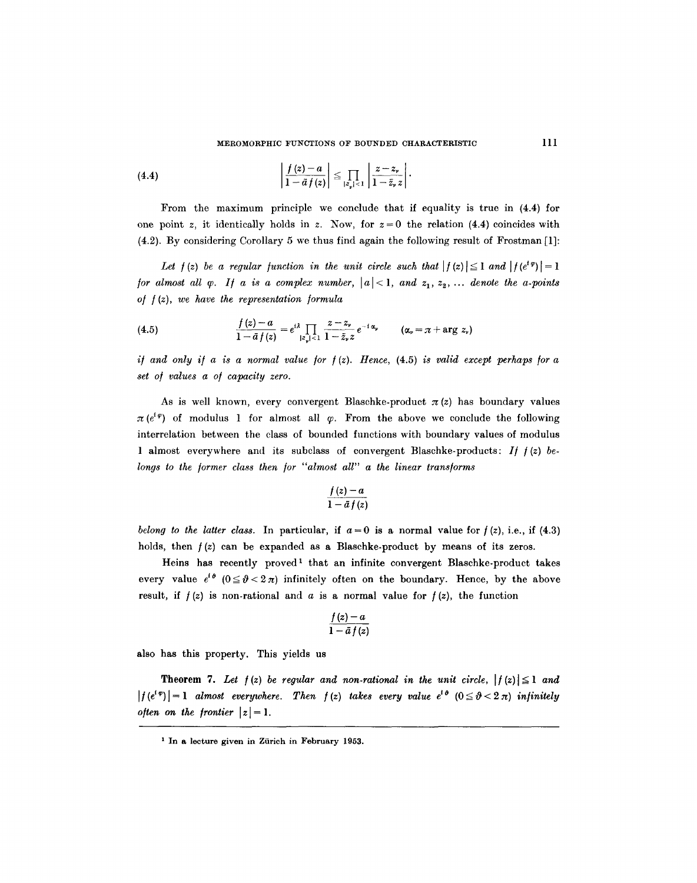$$
(4.4) \qquad \left|\frac{f(z)-a}{1-\tilde{a}f(z)}\right| \leq \prod_{|z_{\nu}|<1}\left|\frac{z-z_{\nu}}{1-\tilde{z}_{\nu}z}\right|.
$$

From the maximum principle we conclude that if equality is true in (4.4) for one point z, it identically holds in z. Now, for  $z = 0$  the relation (4.4) coincides with (4.2). By considering Corollary 5 we thus find again the following result of Frostman [1]:

Let  $f(z)$  be a regular function in the unit circle such that  $|f(z)| \leq 1$  and  $|f(e^{i\varphi})| = 1$ */or almost all*  $\varphi$ *. If a is a complex number,*  $|a| < 1$ , *and*  $z_1, z_2, \ldots$  *denote the a-points o/ /(z), we have the representation /ormula* 

(4.5) 
$$
\frac{f(z)-a}{1-\bar{a}f(z)}=e^{i\lambda}\prod_{|z_{\nu}|<1}\frac{z-z_{\nu}}{1-\tilde{z}_{\nu}z}e^{-i\alpha_{\nu}} \qquad (\alpha_{\nu}=\pi+\arg z_{\nu})
$$

*if and only if a is a normal value for*  $f(z)$ *. Hence,*  $(4.5)$  *is valid except perhaps for a set o/ values a o/ capacity zero.* 

As is well known, every convergent Blaschke-product  $\pi(z)$  has boundary values  $\pi(e^{i\varphi})$  of modulus 1 for almost all  $\varphi$ . From the above we conclude the following interrelation between the class of bounded functions with boundary values of modulus 1 almost everywhere and its subclass of convergent Blaschke-products: *1/ /(z) be. longs to the /ormer class then /or "almost all" a the linear trans/orms* 

$$
\frac{f(z)-a}{1-\bar{a}f(z)}
$$

*belong to the latter class.* In particular, if  $a=0$  is a normal value for  $f(z)$ , i.e., if (4.3) holds, then  $f(z)$  can be expanded as a Blaschke-product by means of its zeros.

Heins has recently proved<sup>1</sup> that an infinite convergent Blaschke-product takes every value  $e^{i\theta}$  ( $0 \le \theta < 2\pi$ ) infinitely often on the boundary. Hence, by the above result, if  $f(z)$  is non-rational and a is a normal value for  $f(z)$ , the function

$$
\frac{f(z)-a}{1-\bar{a}f(z)}
$$

also has this property. This yields us

**Theorem 7.** Let  $f(z)$  be regular and non-rational in the unit circle,  $|f(z)| \leq 1$  and  $|f(e^{i\varphi})|=1$  *almost everywhere. Then*  $f(z)$  *takes every value*  $e^{i\vartheta}$   $(0 \le \vartheta < 2\pi)$  *infinitely often on the frontier*  $|z| = 1$ .

<sup>&</sup>lt;sup>1</sup> In a lecture given in Zürich in February 1953.